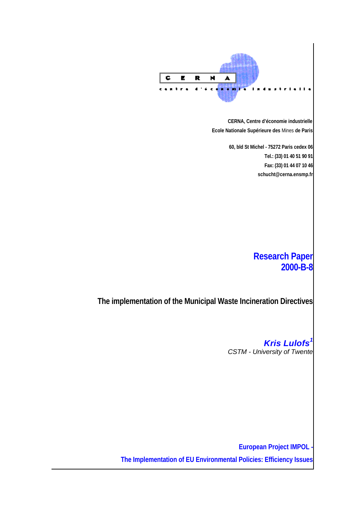

**CERNA, Centre d'économie industrielle Ecole Nationale Supérieure des** Mines **de Paris**

> **60, bld St Michel - 75272 Paris cedex 06 Tel.: (33) 01 40 51 90 91 Fax: (33) 01 44 07 10 46 schucht@cerna.ensmp.fr**

# **Research Paper 2000-B-8**

**The implementation of the Municipal Waste Incineration Directives**

*Kris Lulofs<sup>1</sup> CSTM - University of Twente*

**European Project IMPOL The Implementation of EU Environmental Policies: Efficiency Issues**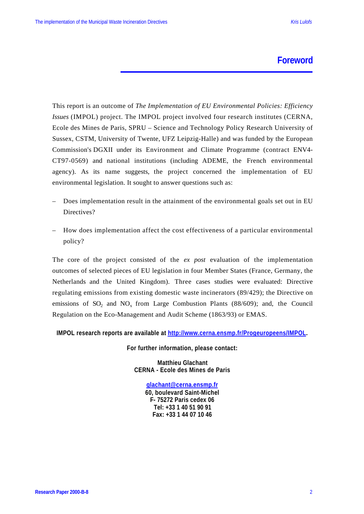### **Foreword**

This report is an outcome of *The Implementation of EU Environmental Policies: Efficiency Issues* (IMPOL) project. The IMPOL project involved four research institutes (CERNA, Ecole des Mines de Paris, SPRU – Science and Technology Policy Research University of Sussex, CSTM, University of Twente, UFZ Leipzig-Halle) and was funded by the European Commission's DGXII under its Environment and Climate Programme (contract ENV4- CT97-0569) and national institutions (including ADEME, the French environmental agency). As its name suggests, the project concerned the implementation of EU environmental legislation. It sought to answer questions such as:

- Does implementation result in the attainment of the environmental goals set out in EU Directives?
- How does implementation affect the cost effectiveness of a particular environmental policy?

The core of the project consisted of the *ex post* evaluation of the implementation outcomes of selected pieces of EU legislation in four Member States (France, Germany, the Netherlands and the United Kingdom). Three cases studies were evaluated: Directive regulating emissions from existing domestic waste incinerators (89/429); the Directive on emissions of  $SO_2$  and  $NO_x$  from Large Combustion Plants (88/609); and, the Council Regulation on the Eco-Management and Audit Scheme (1863/93) or EMAS.

**IMPOL research reports are available at http://www.cerna.ensmp.fr/Progeuropeens/IMPOL.**

**For further information, please contact:**

**Matthieu Glachant CERNA - Ecole des Mines de Paris**

> **glachant@cerna.ensmp.fr 60, boulevard Saint-Michel F- 75272 Paris cedex 06 Tel: +33 1 40 51 90 91 Fax: +33 1 44 07 10 46**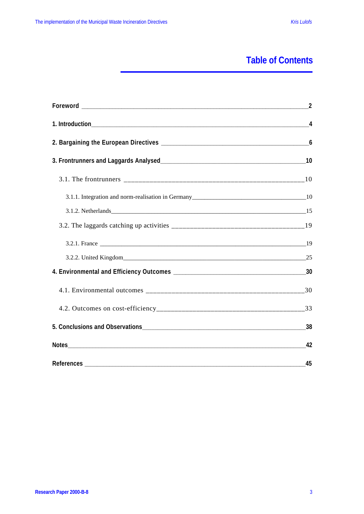# **Table of Contents**

| 45 |
|----|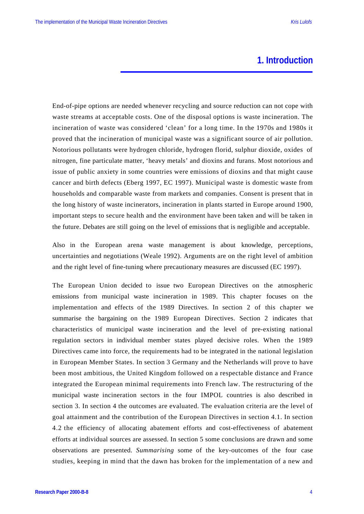## **1. Introduction**

End-of-pipe options are needed whenever recycling and source reduction can not cope with waste streams at acceptable costs. One of the disposal options is waste incineration. The incineration of waste was considered 'clean' for a long time. In the 1970s and 1980s it proved that the incineration of municipal waste was a significant source of air pollution. Notorious pollutants were hydrogen chloride, hydrogen florid, sulphur dioxide, oxides of nitrogen, fine particulate matter, 'heavy metals' and dioxins and furans. Most notorious and issue of public anxiety in some countries were emissions of dioxins and that might cause cancer and birth defects (Eberg 1997, EC 1997). Municipal waste is domestic waste from households and comparable waste from markets and companies. Consent is present that in the long history of waste incinerators, incineration in plants started in Europe around 1900, important steps to secure health and the environment have been taken and will be taken in the future. Debates are still going on the level of emissions that is negligible and acceptable.

Also in the European arena waste management is about knowledge, perceptions, uncertainties and negotiations (Weale 1992). Arguments are on the right level of ambition and the right level of fine-tuning where precautionary measures are discussed (EC 1997).

The European Union decided to issue two European Directives on the atmospheric emissions from municipal waste incineration in 1989. This chapter focuses on the implementation and effects of the 1989 Directives. In section 2 of this chapter we summarise the bargaining on the 1989 European Directives. Section 2 indicates that characteristics of municipal waste incineration and the level of pre-existing national regulation sectors in individual member states played decisive roles. When the 1989 Directives came into force, the requirements had to be integrated in the national legislation in European Member States. In section 3 Germany and the Netherlands will prove to have been most ambitious, the United Kingdom followed on a respectable distance and France integrated the European minimal requirements into French law. The restructuring of the municipal waste incineration sectors in the four IMPOL countries is also described in section 3. In section 4 the outcomes are evaluated. The evaluation criteria are the level of goal attainment and the contribution of the European Directives in section 4.1. In section 4.2 the efficiency of allocating abatement efforts and cost-effectiveness of abatement efforts at individual sources are assessed. In section 5 some conclusions are drawn and some observations are presented. *Summarising* some of the key-outcomes of the four case studies, keeping in mind that the dawn has broken for the implementation of a new and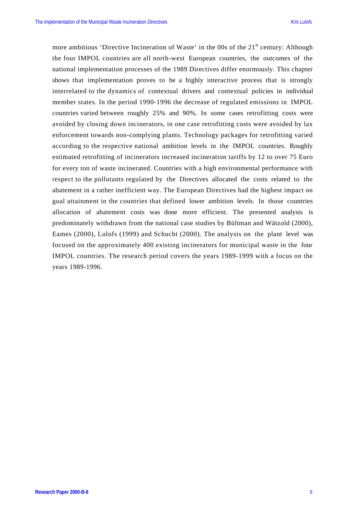more ambitious 'Directive Incineration of Waste' in the 00s of the 21<sup>st</sup> century: Although the four IMPOL countries are all north-west European countries, the outcomes of the national implementation processes of the 1989 Directives differ enormously. This chapter shows that implementation proves to be a highly interactive process that is strongly interrelated to the dynamics of contextual drivers and contextual policies in individual member states. In the period 1990-1996 the decrease of regulated emissions in IMPOL countries varied between roughly 25% and 90%. In some cases retrofitting costs were avoided by closing down incinerators, in one case retrofitting costs were avoided by lax enforcement towards non-complying plants. Technology packages for retrofitting varied according to the respective national ambition levels in the IMPOL countries. Roughly estimated retrofitting of incinerators increased incineration tariffs by 12 to over 75 Euro for every ton of waste incinerated. Countries with a high environmental performance with respect to the pollutants regulated by the Directives allocated the costs related to the abatement in a rather inefficient way. The European Directives had the highest impact on goal attainment in the countries that defined lower ambition levels. In those countries allocation of abatement costs was done more efficient. The presented analysis is predominately withdrawn from the national case studies by Bültman and Wätzold (2000), Eames (2000), Lulofs (1999) and Schucht (2000). The analysis on the plant level was focused on the approximately 400 existing incinerators for municipal waste in the four IMPOL countries. The research period covers the years 1989-1999 with a focus on the years 1989-1996.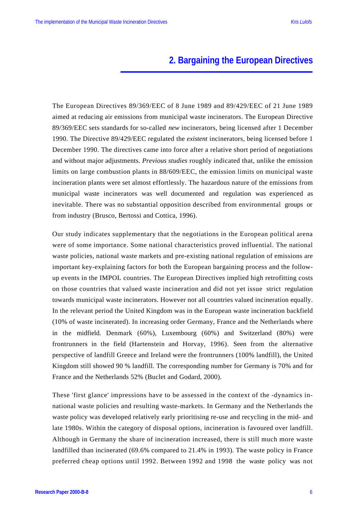# **2. Bargaining the European Directives**

The European Directives 89/369/EEC of 8 June 1989 and 89/429/EEC of 21 June 1989 aimed at reducing air emissions from municipal waste incinerators. The European Directive 89/369/EEC sets standards for so-called *new* incinerators, being licensed after 1 December 1990. The Directive 89/429/EEC regulated the *existent* incinerators, being licensed before 1 December 1990. The directives came into force after a relative short period of negotiations and without major adjustments. *Previous studies* roughly indicated that, unlike the emission limits on large combustion plants in 88/609/EEC, the emission limits on municipal waste incineration plants were set almost effortlessly. The hazardous nature of the emissions from municipal waste incinerators was well documented and regulation was experienced as inevitable. There was no substantial opposition described from environmental groups or from industry (Brusco, Bertossi and Cottica, 1996).

Our study indicates supplementary that the negotiations in the European political arena were of some importance. Some national characteristics proved influential. The national waste policies, national waste markets and pre-existing national regulation of emissions are important key-explaining factors for both the European bargaining process and the followup events in the IMPOL countries. The European Directives implied high retrofitting costs on those countries that valued waste incineration and did not yet issue strict regulation towards municipal waste incinerators. However not all countries valued incineration equally. In the relevant period the United Kingdom was in the European waste incineration backfield (10% of waste incinerated). In increasing order Germany, France and the Netherlands where in the midfield. Denmark (60%), Luxembourg (60%) and Switzerland (80%) were frontrunners in the field (Hartenstein and Horvay, 1996). Seen from the alternative perspective of landfill Greece and Ireland were the frontrunners (100% landfill), the United Kingdom still showed 90 % landfill. The corresponding number for Germany is 70% and for France and the Netherlands 52% (Buclet and Godard, 2000).

These 'first glance' impressions have to be assessed in the context of the -dynamics innational waste policies and resulting waste-markets. In Germany and the Netherlands the waste policy was developed relatively early prioritising re-use and recycling in the mid- and late 1980s. Within the category of disposal options, incineration is favoured over landfill. Although in Germany the share of incineration increased, there is still much more waste landfilled than incinerated (69.6% compared to 21.4% in 1993). The waste policy in France preferred cheap options until 1992. Between 1992 and 1998 the waste policy was not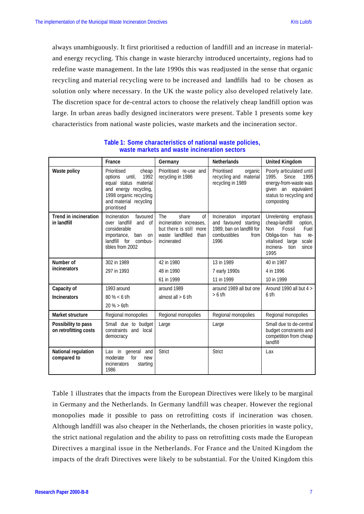always unambiguously. It first prioritised a reduction of landfill and an increase in materialand energy recycling. This change in waste hierarchy introduced uncertainty, regions had to redefine waste management. In the late 1990s this was readjusted in the sense that organic recycling and material recycling were to be increased and landfills had to be chosen as solution only where necessary. In the UK the waste policy also developed relatively late. The discretion space for de-central actors to choose the relatively cheap landfill option was large. In urban areas badly designed incinerators were present. Table 1 presents some key characteristics from national waste policies, waste markets and the incineration sector.

|                                              | France                                                                                                                                                                 | Germany                                                                                                                          | <b>Netherlands</b>                                                                                                | <b>United Kingdom</b>                                                                                                                                                        |
|----------------------------------------------|------------------------------------------------------------------------------------------------------------------------------------------------------------------------|----------------------------------------------------------------------------------------------------------------------------------|-------------------------------------------------------------------------------------------------------------------|------------------------------------------------------------------------------------------------------------------------------------------------------------------------------|
| Waste policy                                 | Prioritised<br>cheap<br>until,<br>1992<br>options<br>equal status material<br>and energy recycling,<br>1998 organic recycling<br>and material recycling<br>prioritised | Prioritised re-use and<br>recycling in 1986                                                                                      | Prioritised<br>organic<br>recycling and material<br>recycling in 1989                                             | Poorly articulated until<br>1995.<br>Since<br>1995<br>energy-from-waste was<br>given an equivalent<br>status to recycling and<br>composting                                  |
| <b>Trend in incineration</b><br>in landfill  | Incineration<br>favoured<br>over landfill<br>and of<br>considerable<br>importance,<br>ban<br>on<br>landfill for<br>combus-<br>tibles from 2002                         | <b>The</b><br>share<br>$\sigma$<br>incineration increases,<br>but there is still more<br>waste landfilled<br>than<br>incinerated | Incineration<br>important<br>and favoured starting<br>1989, ban on landfill for<br>combustibles<br>from I<br>1996 | Unrelenting emphasis<br>cheap-landfill<br>option,<br>Non<br>Fossil<br>Fuel<br>Obliga-tion<br>has<br>re-<br>vitalised<br>large<br>scale<br>incinera-<br>since<br>tion<br>1995 |
| Number of                                    | 302 in 1989                                                                                                                                                            | 42 in 1980                                                                                                                       | 13 in 1989                                                                                                        | 40 in 1987                                                                                                                                                                   |
| incinerators                                 | 297 in 1993                                                                                                                                                            | 48 in 1990                                                                                                                       | 7 early 1990s                                                                                                     | 4 in 1996                                                                                                                                                                    |
|                                              |                                                                                                                                                                        | 61 in 1999                                                                                                                       | 11 in 1999                                                                                                        | 10 in 1999                                                                                                                                                                   |
| Capacity of                                  | 1993 around                                                                                                                                                            | around 1989                                                                                                                      | around 1989 all but one                                                                                           | Around 1990 all but $4 >$                                                                                                                                                    |
| <b>Incinerators</b>                          | $80\% < 6$ t/h                                                                                                                                                         | almost all $> 6$ t/h                                                                                                             | $6$ t/h<br>$> 6$ t/h                                                                                              |                                                                                                                                                                              |
|                                              | $20 \% > 6$ t/h                                                                                                                                                        |                                                                                                                                  |                                                                                                                   |                                                                                                                                                                              |
| <b>Market structure</b>                      | Regional monopolies                                                                                                                                                    | Regional monopolies                                                                                                              | Regional monopolies                                                                                               | Regional monopolies                                                                                                                                                          |
| Possibility to pass<br>on retrofitting costs | Small due to budget<br>constraints<br>and local<br>democracy                                                                                                           | Large                                                                                                                            | Large                                                                                                             | Small due to de-central<br>budget constraints and<br>competition from cheap<br>landfill                                                                                      |
| National regulation<br>compared to           | Lax in general<br>and<br>moderate<br>for<br>new<br><i>incinerators</i><br>starting<br>1986                                                                             | <b>Strict</b>                                                                                                                    | <b>Strict</b>                                                                                                     | Lax                                                                                                                                                                          |

**Table 1: Some characteristics of national waste policies, waste markets and waste incineration sectors**

Table 1 illustrates that the impacts from the European Directives were likely to be marginal in Germany and the Netherlands. In Germany landfill was cheaper. However the regional monopolies made it possible to pass on retrofitting costs if incineration was chosen. Although landfill was also cheaper in the Netherlands, the chosen priorities in waste policy, the strict national regulation and the ability to pass on retrofitting costs made the European Directives a marginal issue in the Netherlands. For France and the United Kingdom the impacts of the draft Directives were likely to be substantial. For the United Kingdom this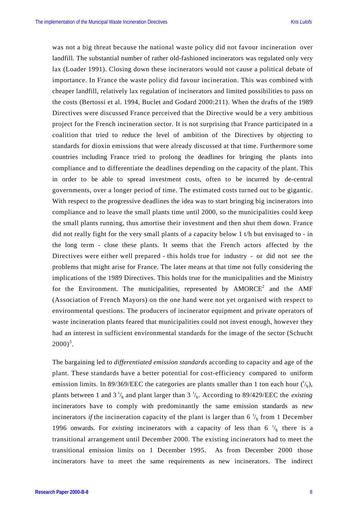was not a big threat because the national waste policy did not favour incineration over landfill. The substantial number of rather old-fashioned incinerators was regulated only very lax (Loader 1991). Closing down these incinerators would not cause a political debate of importance. In France the waste policy did favour incineration. This was combined with cheaper landfill, relatively lax regulation of incinerators and limited possibilities to pass on the costs (Bertossi et al. 1994, Buclet and Godard 2000:211). When the drafts of the 1989 Directives were discussed France perceived that the Directive would be a very ambitious project for the French incineration sector. It is not surprising that France participated in a coalition that tried to reduce the level of ambition of the Directives by objecting to standards for dioxin emissions that were already discussed at that time. Furthermore some countries including France tried to prolong the deadlines for bringing the plants into compliance and to differentiate the deadlines depending on the capacity of the plant. This in order to be able to spread investment costs, often to be incurred by de-central governments, over a longer period of time. The estimated costs turned out to be gigantic. With respect to the progressive deadlines the idea was to start bringing big incinerators into compliance and to leave the small plants time until 2000, so the municipalities could keep the small plants running, thus amortise their investment and then shut them down. France did not really fight for the very small plants of a capacity below 1 t/h but envisaged to - in the long term - close these plants. It seems that the French actors affected by the Directives were either well prepared - this holds true for industry - or did not see the problems that might arise for France. The later means at that time not fully considering the implications of the 1989 Directives. This holds true for the municipalities and the Ministry for the Environment. The municipalities, represented by  $AMORCE<sup>2</sup>$  and the AMF (Association of French Mayors) on the one hand were not yet organised with respect to environmental questions. The producers of incinerator equipment and private operators of waste incineration plants feared that municipalities could not invest enough, however they had an interest in sufficient environmental standards for the image of the sector (Schucht  $2000)^3$ .

The bargaining led to *differentiated emission standards* according to capacity and age of the plant. These standards have a better potential for cost-efficiency compared to uniform emission limits. In 89/369/EEC the categories are plants smaller than 1 ton each hour  $({}^{\dagger}{}_{h})$ , plants between 1 and 3  $\frac{t}{h}$  and plant larger than 3  $\frac{t}{h}$ . According to 89/429/EEC the *existing* incinerators have to comply with predominantly the same emission standards as *new* incinerators *if* the incineration capacity of the plant is larger than 6  $\frac{t}{h}$  from 1 December 1996 onwards. For *existing* incinerators with a capacity of less than  $6 \frac{t}{h}$  there is a transitional arrangement until December 2000. The existing incinerators had to meet the transitional emission limits on 1 December 1995. As from December 2000 those incinerators have to meet the same requirements as new incinerators. The indirect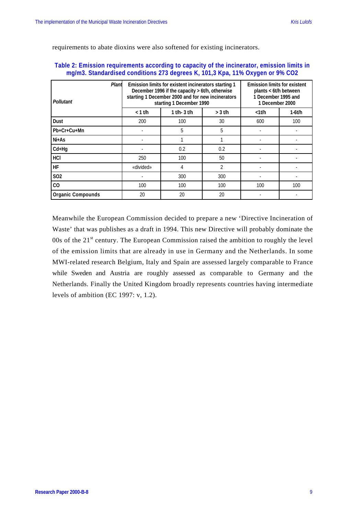requirements to abate dioxins were also softened for existing incinerators.

#### **Table 2: Emission requirements according to capacity of the incinerator, emission limits in mg/m3. Standardised conditions 273 degrees K, 101,3 Kpa, 11% Oxygen or 9% CO2**

| Plant<br>Pollutant       |           | Emission limits for existent incinerators starting 1<br>December 1996 if the capacity > 6t/h, otherwise<br>starting 1 December 2000 and for new incinerators<br>starting 1 December 1990 | <b>Emission limits for existent</b><br>plants < 6t/h between<br>1 December 1995 and<br>1 December 2000 |             |          |
|--------------------------|-----------|------------------------------------------------------------------------------------------------------------------------------------------------------------------------------------------|--------------------------------------------------------------------------------------------------------|-------------|----------|
|                          | $< 1$ t/h | $1$ t/h- $3$ t/h                                                                                                                                                                         | $>$ 3 t/h                                                                                              | $<$ 1 $t/h$ | $1-6t/h$ |
| Dust                     | 200       | 100                                                                                                                                                                                      | 30                                                                                                     | 600         | 100      |
| Pb+Cr+Cu+Mn              |           | 5                                                                                                                                                                                        | 5                                                                                                      |             |          |
| Ni+As                    |           |                                                                                                                                                                                          |                                                                                                        |             |          |
| $Cd+Hg$                  |           | 0.2                                                                                                                                                                                      | 0.2                                                                                                    |             |          |
| HCI                      | 250       | 100                                                                                                                                                                                      | 50                                                                                                     |             |          |
| <b>HF</b>                | «divided» | 4                                                                                                                                                                                        | $\overline{2}$                                                                                         |             |          |
| S <sub>02</sub>          |           | 300                                                                                                                                                                                      | 300                                                                                                    |             |          |
| CO                       | 100       | 100                                                                                                                                                                                      | 100                                                                                                    | 100         | 100      |
| <b>Organic Compounds</b> | 20        | 20                                                                                                                                                                                       | 20                                                                                                     |             |          |

Meanwhile the European Commission decided to prepare a new 'Directive Incineration of Waste' that was publishes as a draft in 1994. This new Directive will probably dominate the 00s of the  $21<sup>st</sup>$  century. The European Commission raised the ambition to roughly the level of the emission limits that are already in use in Germany and the Netherlands. In some MWI-related research Belgium, Italy and Spain are assessed largely comparable to France while Sweden and Austria are roughly assessed as comparable to Germany and the Netherlands. Finally the United Kingdom broadly represents countries having intermediate levels of ambition (EC 1997: v, 1.2).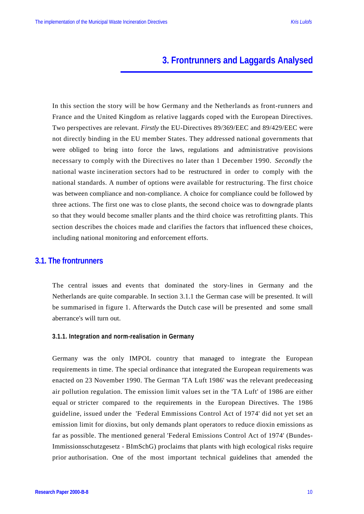# **3. Frontrunners and Laggards Analysed**

In this section the story will be how Germany and the Netherlands as front-runners and France and the United Kingdom as relative laggards coped with the European Directives. Two perspectives are relevant. *Firstly* the EU-Directives 89/369/EEC and 89/429/EEC were not directly binding in the EU member States. They addressed national governments that were obliged to bring into force the laws, regulations and administrative provisions necessary to comply with the Directives no later than 1 December 1990. *Secondly* the national waste incineration sectors had to be restructured in order to comply with the national standards. A number of options were available for restructuring. The first choice was between compliance and non-compliance. A choice for compliance could be followed by three actions. The first one was to close plants, the second choice was to downgrade plants so that they would become smaller plants and the third choice was retrofitting plants. This section describes the choices made and clarifies the factors that influenced these choices, including national monitoring and enforcement efforts.

#### **3.1. The frontrunners**

The central issues and events that dominated the story-lines in Germany and the Netherlands are quite comparable. In section 3.1.1 the German case will be presented. It will be summarised in figure 1. Afterwards the Dutch case will be presented and some small aberrance's will turn out.

#### **3.1.1. Integration and norm-realisation in Germany**

Germany was the only IMPOL country that managed to integrate the European requirements in time. The special ordinance that integrated the European requirements was enacted on 23 November 1990. The German 'TA Luft 1986' was the relevant predeceasing air pollution regulation. The emission limit values set in the 'TA Luft' of 1986 are either equal or stricter compared to the requirements in the European Directives. The 1986 guideline, issued under the 'Federal Emmissions Control Act of 1974' did not yet set an emission limit for dioxins, but only demands plant operators to reduce dioxin emissions as far as possible. The mentioned general 'Federal Emissions Control Act of 1974' (Bundes-Immissionsschutzgesetz - BImSchG) proclaims that plants with high ecological risks require prior authorisation. One of the most important technical guidelines that amended the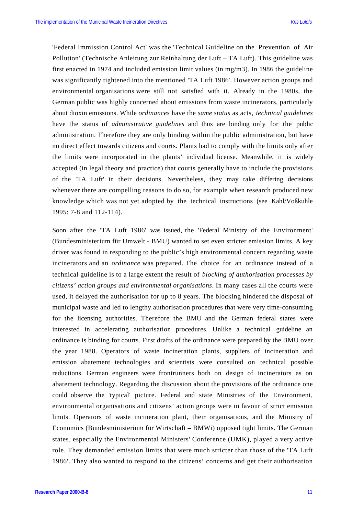'Federal Immission Control Act' was the 'Technical Guideline on the Prevention of Air Pollution' (Technische Anleitung zur Reinhaltung der Luft – TA Luft). This guideline was first enacted in 1974 and included emission limit values (in mg/m3). In 1986 the guideline was significantly tightened into the mentioned 'TA Luft 1986'. However action groups and environmental organisations were still not satisfied with it. Already in the 1980s, the German public was highly concerned about emissions from waste incinerators, particularly about dioxin emissions. While *ordinances* have the *same status* as acts, *technical guidelines* have the status of *administrative guidelines* and thus are binding only for the public administration. Therefore they are only binding within the public administration, but have no direct effect towards citizens and courts. Plants had to comply with the limits only after the limits were incorporated in the plants' individual license. Meanwhile, it is widely accepted (in legal theory and practice) that courts generally have to include the provisions of the 'TA Luft' in their decisions. Nevertheless, they may take differing decisions whenever there are compelling reasons to do so, for example when research produced new knowledge which was not yet adopted by the technical instructions (see Kahl/Voßkuhle 1995: 7-8 and 112-114).

Soon after the 'TA Luft 1986' was issued, the 'Federal Ministry of the Environment' (Bundesministerium für Umwelt - BMU) wanted to set even stricter emission limits. A key driver was found in responding to the public's high environmental concern regarding waste incinerators and an *ordinance* was prepared. The choice for an ordinance instead of a technical guideline is to a large extent the result of *blocking of authorisation processes by citizens' action groups and environmental organisations*. In many cases all the courts were used, it delayed the authorisation for up to 8 years. The blocking hindered the disposal of municipal waste and led to lengthy authorisation procedures that were very time-consuming for the licensing authorities. Therefore the BMU and the German federal states were interested in accelerating authorisation procedures. Unlike a technical guideline an ordinance is binding for courts. First drafts of the ordinance were prepared by the BMU over the year 1988. Operators of waste incineration plants, suppliers of incineration and emission abatement technologies and scientists were consulted on technical possible reductions. German engineers were frontrunners both on design of incinerators as on abatement technology. Regarding the discussion about the provisions of the ordinance one could observe the 'typical' picture. Federal and state Ministries of the Environment, environmental organisations and citizens' action groups were in favour of strict emission limits. Operators of waste incineration plant, their organisations, and the Ministry of Economics (Bundesministerium für Wirtschaft – BMWi) opposed tight limits. The German states, especially the Environmental Ministers' Conference (UMK), played a very active role. They demanded emission limits that were much stricter than those of the 'TA Luft 1986'. They also wanted to respond to the citizens' concerns and get their authorisation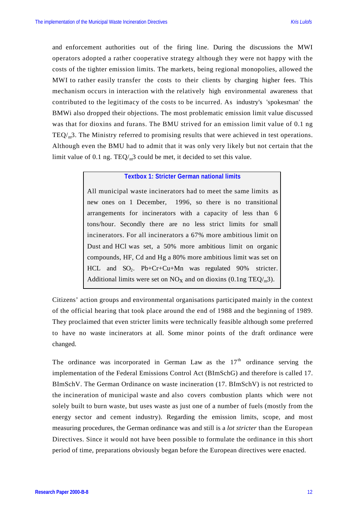and enforcement authorities out of the firing line. During the discussions the MWI operators adopted a rather cooperative strategy although they were not happy with the costs of the tighter emission limits. The markets, being regional monopolies, allowed the MWI to rather easily transfer the costs to their clients by charging higher fees. This mechanism occurs in interaction with the relatively high environmental awareness that contributed to the legitimacy of the costs to be incurred. As industry's 'spokesman' the BMWi also dropped their objections. The most problematic emission limit value discussed was that for dioxins and furans. The BMU strived for an emission limit value of 0.1 ng  $TEQ<sub>m</sub>3$ . The Ministry referred to promising results that were achieved in test operations. Although even the BMU had to admit that it was only very likely but not certain that the limit value of 0.1 ng.  $TEQ/m^3$  could be met, it decided to set this value.

#### **Textbox 1: Stricter German national limits**

All municipal waste incinerators had to meet the same limits as new ones on 1 December, 1996, so there is no transitional arrangements for incinerators with a capacity of less than 6 tons/hour. Secondly there are no less strict limits for small incinerators. For all incinerators a 67% more ambitious limit on Dust and HCl was set, a 50% more ambitious limit on organic compounds, HF, Cd and Hg a 80% more ambitious limit was set on HCL and SO<sub>2</sub>. Pb+Cr+Cu+Mn was regulated 90% stricter. Additional limits were set on  $NO<sub>x</sub>$  and on dioxins (0.1ng TEQ/<sub>m</sub>3).

Citizens' action groups and environmental organisations participated mainly in the context of the official hearing that took place around the end of 1988 and the beginning of 1989. They proclaimed that even stricter limits were technically feasible although some preferred to have no waste incinerators at all. Some minor points of the draft ordinance were changed.

The ordinance was incorporated in German Law as the  $17<sup>th</sup>$  ordinance serving the implementation of the Federal Emissions Control Act (BImSchG) and therefore is called 17. BImSchV. The German Ordinance on waste incineration (17. BImSchV) is not restricted to the incineration of municipal waste and also covers combustion plants which were not solely built to burn waste, but uses waste as just one of a number of fuels (mostly from the energy sector and cement industry). Regarding the emission limits, scope, and most measuring procedures, the German ordinance was and still is a *lot stricter* than the European Directives. Since it would not have been possible to formulate the ordinance in this short period of time, preparations obviously began before the European directives were enacted.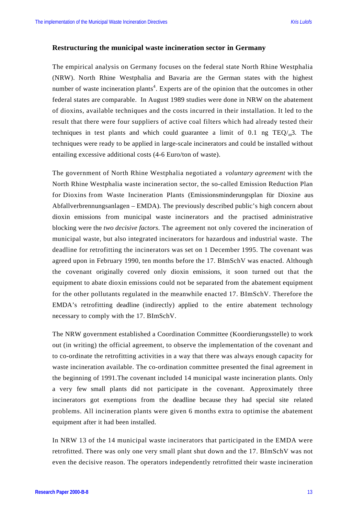#### **Restructuring the municipal waste incineration sector in Germany**

The empirical analysis on Germany focuses on the federal state North Rhine Westphalia (NRW). North Rhine Westphalia and Bavaria are the German states with the highest number of waste incineration plants<sup>4</sup>. Experts are of the opinion that the outcomes in other federal states are comparable. In August 1989 studies were done in NRW on the abatement of dioxins, available techniques and the costs incurred in their installation. It led to the result that there were four suppliers of active coal filters which had already tested their techniques in test plants and which could guarantee a limit of 0.1 ng  $TEQ/m^3$ . The techniques were ready to be applied in large-scale incinerators and could be installed without entailing excessive additional costs (4-6 Euro/ton of waste).

The government of North Rhine Westphalia negotiated a *voluntary agreement* with the North Rhine Westphalia waste incineration sector, the so-called Emission Reduction Plan for Dioxins from Waste Incineration Plants (Emissionsminderungsplan für Dioxine aus Abfallverbrennungsanlagen – EMDA). The previously described public's high concern about dioxin emissions from municipal waste incinerators and the practised administrative blocking were the *two decisive factors*. The agreement not only covered the incineration of municipal waste, but also integrated incinerators for hazardous and industrial waste. The deadline for retrofitting the incinerators was set on 1 December 1995. The covenant was agreed upon in February 1990, ten months before the 17. BImSchV was enacted. Although the covenant originally covered only dioxin emissions, it soon turned out that the equipment to abate dioxin emissions could not be separated from the abatement equipment for the other pollutants regulated in the meanwhile enacted 17. BImSchV. Therefore the EMDA's retrofitting deadline (indirectly) applied to the entire abatement technology necessary to comply with the 17. BImSchV.

The NRW government established a Coordination Committee (Koordierungsstelle) to work out (in writing) the official agreement, to observe the implementation of the covenant and to co-ordinate the retrofitting activities in a way that there was always enough capacity for waste incineration available. The co-ordination committee presented the final agreement in the beginning of 1991.The covenant included 14 municipal waste incineration plants. Only a very few small plants did not participate in the covenant. Approximately three incinerators got exemptions from the deadline because they had special site related problems. All incineration plants were given 6 months extra to optimise the abatement equipment after it had been installed.

In NRW 13 of the 14 municipal waste incinerators that participated in the EMDA were retrofitted. There was only one very small plant shut down and the 17. BImSchV was not even the decisive reason. The operators independently retrofitted their waste incineration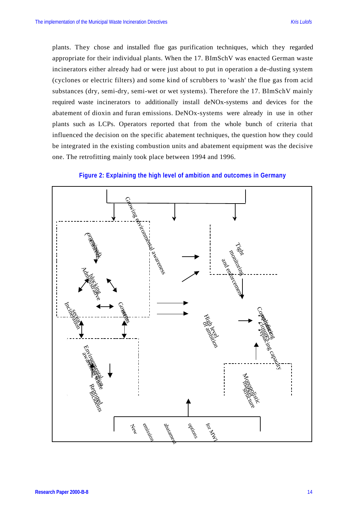plants. They chose and installed flue gas purification techniques, which they regarded appropriate for their individual plants. When the 17. BImSchV was enacted German waste incinerators either already had or were just about to put in operation a de-dusting system (cyclones or electric filters) and some kind of scrubbers to 'wash' the flue gas from acid substances (dry, semi-dry, semi-wet or wet systems). Therefore the 17. BImSchV mainly required waste incinerators to additionally install deNOx-systems and devices for the abatement of dioxin and furan emissions. DeNOx-systems were already in use in other plants such as LCPs. Operators reported that from the whole bunch of criteria that influenced the decision on the specific abatement techniques, the question how they could be integrated in the existing combustion units and abatement equipment was the decisive one. The retrofitting mainly took place between 1994 and 1996.



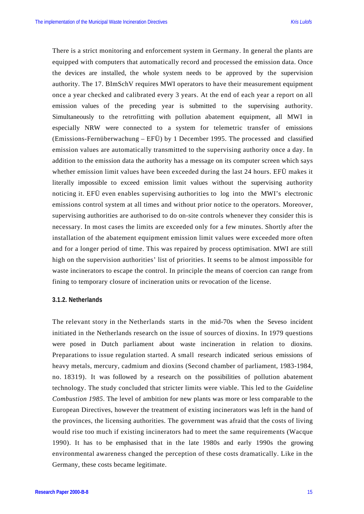There is a strict monitoring and enforcement system in Germany. In general the plants are equipped with computers that automatically record and processed the emission data. Once the devices are installed, the whole system needs to be approved by the supervision authority. The 17. BImSchV requires MWI operators to have their measurement equipment once a year checked and calibrated every 3 years. At the end of each year a report on all emission values of the preceding year is submitted to the supervising authority. Simultaneously to the retrofitting with pollution abatement equipment, all MWI in especially NRW were connected to a system for telemetric transfer of emissions (Emissions-Fernüberwachung – EFÜ) by 1 December 1995. The processed and classified emission values are automatically transmitted to the supervising authority once a day. In addition to the emission data the authority has a message on its computer screen which says whether emission limit values have been exceeded during the last 24 hours. EFÜ makes it literally impossible to exceed emission limit values without the supervising authority noticing it. EFÜ even enables supervising authorities to log into the MWI's electronic emissions control system at all times and without prior notice to the operators. Moreover, supervising authorities are authorised to do on-site controls whenever they consider this is necessary. In most cases the limits are exceeded only for a few minutes. Shortly after the installation of the abatement equipment emission limit values were exceeded more often and for a longer period of time. This was repaired by process optimisation. MWI are still high on the supervision authorities' list of priorities. It seems to be almost impossible for waste incinerators to escape the control. In principle the means of coercion can range from fining to temporary closure of incineration units or revocation of the license.

#### **3.1.2. Netherlands**

The relevant story in the Netherlands starts in the mid-70s when the Seveso incident initiated in the Netherlands research on the issue of sources of dioxins. In 1979 questions were posed in Dutch parliament about waste incineration in relation to dioxins. Preparations to issue regulation started. A small research indicated serious emissions of heavy metals, mercury, cadmium and dioxins (Second chamber of parliament, 1983-1984, no. 18319). It was followed by a research on the possibilities of pollution abatement technology. The study concluded that stricter limits were viable. This led to the *Guideline Combustion 1985*. The level of ambition for new plants was more or less comparable to the European Directives, however the treatment of existing incinerators was left in the hand of the provinces, the licensing authorities. The government was afraid that the costs of living would rise too much if existing incinerators had to meet the same requirements (Wacque 1990). It has to be emphasised that in the late 1980s and early 1990s the growing environmental awareness changed the perception of these costs dramatically. Like in the Germany, these costs became legitimate.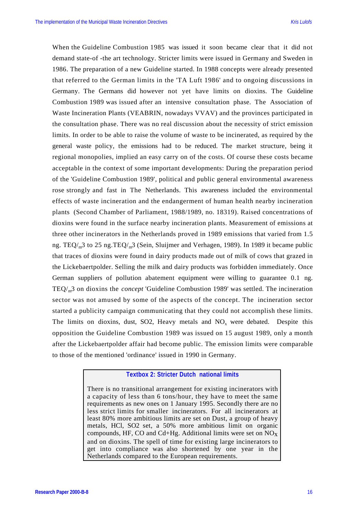When the Guideline Combustion 1985 was issued it soon became clear that it did not demand state-of -the art technology. Stricter limits were issued in Germany and Sweden in 1986. The preparation of a new Guideline started. In 1988 concepts were already presented that referred to the German limits in the 'TA Luft 1986' and to ongoing discussions in Germany. The Germans did however not yet have limits on dioxins. The Guideline Combustion 1989 was issued after an intensive consultation phase. The Association of Waste Incineration Plants (VEABRIN, nowadays VVAV) and the provinces participated in the consultation phase. There was no real discussion about the necessity of strict emission limits. In order to be able to raise the volume of waste to be incinerated, as required by the general waste policy, the emissions had to be reduced. The market structure, being it regional monopolies, implied an easy carry on of the costs. Of course these costs became acceptable in the context of some important developments: During the preparation period of the 'Guideline Combustion 1989', political and public general environmental awareness rose strongly and fast in The Netherlands. This awareness included the environmental effects of waste incineration and the endangerment of human health nearby incineration plants (Second Chamber of Parliament, 1988/1989, no. 18319). Raised concentrations of dioxins were found in the surface nearby incineration plants. Measurement of emissions at three other incinerators in the Netherlands proved in 1989 emissions that varied from 1.5 ng. TEQ/ $_{m}$ 3 to 25 ng.TEQ/ $_{m}$ 3 (Sein, Sluijmer and Verhagen, 1989). In 1989 it became public that traces of dioxins were found in dairy products made out of milk of cows that grazed in the Lickebaertpolder. Selling the milk and dairy products was forbidden immediately. Once German suppliers of pollution abatement equipment were willing to guarantee 0.1 ng. TEQ/m3 on dioxins the *concept* 'Guideline Combustion 1989' was settled. The incineration sector was not amused by some of the aspects of the concept. The incineration sector started a publicity campaign communicating that they could not accomplish these limits. The limits on dioxins, dust,  $SO<sub>2</sub>$ , Heavy metals and  $NO<sub>x</sub>$  were debated. Despite this opposition the Guideline Combustion 1989 was issued on 15 august 1989, only a month after the Lickebaertpolder affair had become public. The emission limits were comparable to those of the mentioned 'ordinance' issued in 1990 in Germany.

#### **Textbox 2: Stricter Dutch national limits**

There is no transitional arrangement for existing incinerators with a capacity of less than 6 tons/hour, they have to meet the same requirements as new ones on 1 January 1995. Secondly there are no less strict limits for smaller incinerators. For all incinerators at least 80% more ambitious limits are set on Dust, a group of heavy metals, HCl, SO2 set, a 50% more ambitious limit on organic compounds, HF, CO and Cd+Hg. Additional limits were set on  $NO<sub>x</sub>$ and on dioxins. The spell of time for existing large incinerators to get into compliance was also shortened by one year in the Netherlands compared to the European requirements.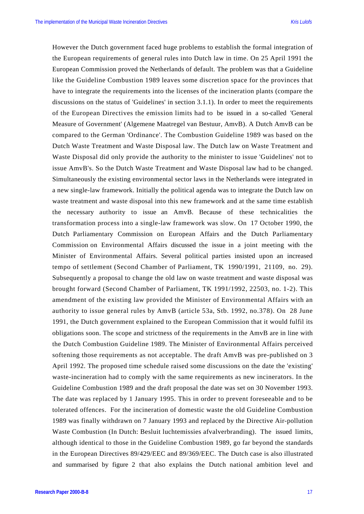However the Dutch government faced huge problems to establish the formal integration of the European requirements of general rules into Dutch law in time. On 25 April 1991 the European Commission proved the Netherlands of default. The problem was that a Guideline like the Guideline Combustion 1989 leaves some discretion space for the provinces that have to integrate the requirements into the licenses of the incineration plants (compare the discussions on the status of 'Guidelines' in section 3.1.1). In order to meet the requirements of the European Directives the emission limits had to be issued in a so-called 'General Measure of Government' (Algemene Maatregel van Bestuur, AmvB). A Dutch AmvB can be compared to the German 'Ordinance'. The Combustion Guideline 1989 was based on the Dutch Waste Treatment and Waste Disposal law. The Dutch law on Waste Treatment and Waste Disposal did only provide the authority to the minister to issue 'Guidelines' not to issue AmvB's. So the Dutch Waste Treatment and Waste Disposal law had to be changed. Simultaneously the existing environmental sector laws in the Netherlands were integrated in a new single-law framework. Initially the political agenda was to integrate the Dutch law on waste treatment and waste disposal into this new framework and at the same time establish the necessary authority to issue an AmvB. Because of these technicalities the transformation process into a single-law framework was slow. On 17 October 1990, the Dutch Parliamentary Commission on European Affairs and the Dutch Parliamentary Commission on Environmental Affairs discussed the issue in a joint meeting with the Minister of Environmental Affairs. Several political parties insisted upon an increased tempo of settlement (Second Chamber of Parliament, TK 1990/1991, 21109, no. 29). Subsequently a proposal to change the old law on waste treatment and waste disposal was brought forward (Second Chamber of Parliament, TK 1991/1992, 22503, no. 1-2). This amendment of the existing law provided the Minister of Environmental Affairs with an authority to issue general rules by AmvB (article 53a, Stb. 1992, no.378). On 28 June 1991, the Dutch government explained to the European Commission that it would fulfil its obligations soon. The scope and strictness of the requirements in the AmvB are in line with the Dutch Combustion Guideline 1989. The Minister of Environmental Affairs perceived softening those requirements as not acceptable. The draft AmvB was pre-published on 3 April 1992. The proposed time schedule raised some discussions on the date the 'existing' waste-incineration had to comply with the same requirements as new incinerators. In the Guideline Combustion 1989 and the draft proposal the date was set on 30 November 1993. The date was replaced by 1 January 1995. This in order to prevent foreseeable and to be tolerated offences. For the incineration of domestic waste the old Guideline Combustion 1989 was finally withdrawn on 7 January 1993 and replaced by the Directive Air-pollution Waste Combustion (In Dutch: Besluit luchtemissies afvalverbranding). The issued limits, although identical to those in the Guideline Combustion 1989, go far beyond the standards in the European Directives 89/429/EEC and 89/369/EEC. The Dutch case is also illustrated and summarised by figure 2 that also explains the Dutch national ambition level and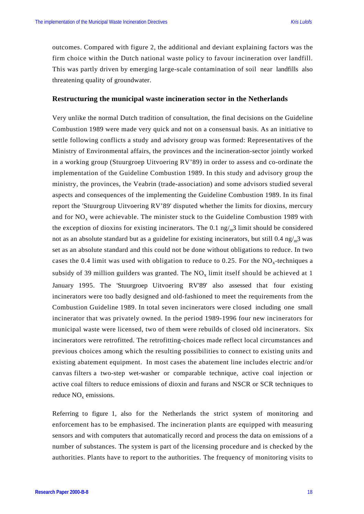outcomes. Compared with figure 2, the additional and deviant explaining factors was the firm choice within the Dutch national waste policy to favour incineration over landfill. This was partly driven by emerging large-scale contamination of soil near landfills also threatening quality of groundwater.

#### **Restructuring the municipal waste incineration sector in the Netherlands**

Very unlike the normal Dutch tradition of consultation, the final decisions on the Guideline Combustion 1989 were made very quick and not on a consensual basis. As an initiative to settle following conflicts a study and advisory group was formed: Representatives of the Ministry of Environmental affairs, the provinces and the incineration-sector jointly worked in a working group (Stuurgroep Uitvoering RV'89) in order to assess and co-ordinate the implementation of the Guideline Combustion 1989. In this study and advisory group the ministry, the provinces, the Veabrin (trade-association) and some advisors studied several aspects and consequences of the implementing the Guideline Combustion 1989. In its final report the 'Stuurgroup Uitvoering RV'89' disputed whether the limits for dioxins, mercury and for  $NO<sub>x</sub>$  were achievable. The minister stuck to the Guideline Combustion 1989 with the exception of dioxins for existing incinerators. The 0.1  $\frac{ng}{m}$  limit should be considered not as an absolute standard but as a guideline for existing incinerators, but still  $0.4 \text{ ng/m}^3$  was set as an absolute standard and this could not be done without obligations to reduce. In two cases the 0.4 limit was used with obligation to reduce to 0.25. For the  $NO<sub>x</sub>$ -techniques a subsidy of 39 million guilders was granted. The  $NO<sub>x</sub>$  limit itself should be achieved at 1 January 1995. The 'Stuurgroep Uitvoering RV'89' also assessed that four existing incinerators were too badly designed and old-fashioned to meet the requirements from the Combustion Guideline 1989. In total seven incinerators were closed including one small incinerator that was privately owned. In the period 1989-1996 four new incinerators for municipal waste were licensed, two of them were rebuilds of closed old incinerators. Six incinerators were retrofitted. The retrofitting-choices made reflect local circumstances and previous choices among which the resulting possibilities to connect to existing units and existing abatement equipment. In most cases the abatement line includes electric and/or canvas filters a two-step wet-washer or comparable technique, active coal injection or active coal filters to reduce emissions of dioxin and furans and NSCR or SCR techniques to reduce  $NO<sub>x</sub>$  emissions.

Referring to figure 1, also for the Netherlands the strict system of monitoring and enforcement has to be emphasised. The incineration plants are equipped with measuring sensors and with computers that automatically record and process the data on emissions of a number of substances. The system is part of the licensing procedure and is checked by the authorities. Plants have to report to the authorities. The frequency of monitoring visits to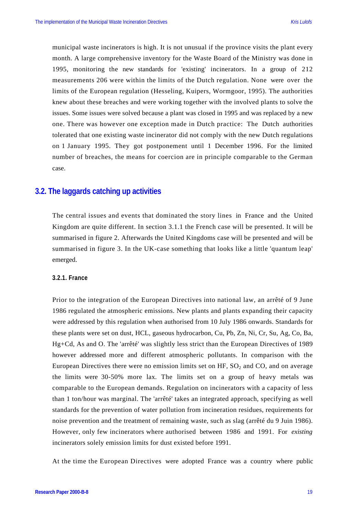municipal waste incinerators is high. It is not unusual if the province visits the plant every month. A large comprehensive inventory for the Waste Board of the Ministry was done in 1995, monitoring the new standards for 'existing' incinerators. In a group of 212 measurements 206 were within the limits of the Dutch regulation. None were over the limits of the European regulation (Hesseling, Kuipers, Wormgoor, 1995). The authorities knew about these breaches and were working together with the involved plants to solve the issues. Some issues were solved because a plant was closed in 1995 and was replaced by a new one. There was however one exception made in Dutch practice: The Dutch authorities tolerated that one existing waste incinerator did not comply with the new Dutch regulations on 1 January 1995. They got postponement until 1 December 1996. For the limited number of breaches, the means for coercion are in principle comparable to the German case.

#### **3.2. The laggards catching up activities**

The central issues and events that dominated the story lines in France and the United Kingdom are quite different. In section 3.1.1 the French case will be presented. It will be summarised in figure 2. Afterwards the United Kingdoms case will be presented and will be summarised in figure 3. In the UK-case something that looks like a little 'quantum leap' emerged.

#### **3.2.1. France**

Prior to the integration of the European Directives into national law, an arrêté of 9 June 1986 regulated the atmospheric emissions. New plants and plants expanding their capacity were addressed by this regulation when authorised from 10 July 1986 onwards. Standards for these plants were set on dust, HCL, gaseous hydrocarbon, Cu, Pb, Zn, Ni, Cr, Su, Ag, Co, Ba, Hg+Cd, As and O. The 'arrêté' was slightly less strict than the European Directives of 1989 however addressed more and different atmospheric pollutants. In comparison with the European Directives there were no emission limits set on HF,  $SO_2$  and CO, and on average the limits were 30-50% more lax. The limits set on a group of heavy metals was comparable to the European demands. Regulation on incinerators with a capacity of less than 1 ton/hour was marginal. The 'arrêté' takes an integrated approach, specifying as well standards for the prevention of water pollution from incineration residues, requirements for noise prevention and the treatment of remaining waste, such as slag (arrêté du 9 Juin 1986). However, only few incinerators where authorised between 1986 and 1991. For *existing* incinerators solely emission limits for dust existed before 1991.

At the time the European Directives were adopted France was a country where public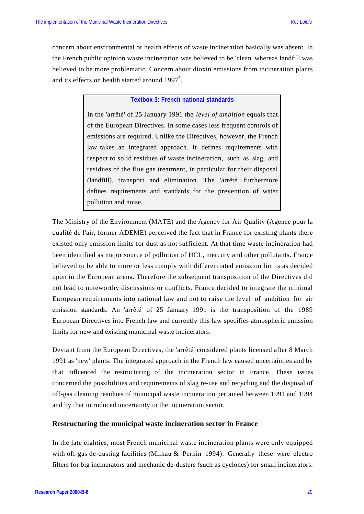concern about environmental or health effects of waste incineration basically was absent. In the French public opinion waste incineration was believed to be 'clean' whereas landfill was believed to be more problematic. Concern about dioxin emissions from incineration plants and its effects on health started around 1997<sup>5</sup>.

#### **Textbox 3: French national standards**

In the 'arrêté' of 25 January 1991 the *level of ambition* equals that of the European Directives. In some cases less frequent controls of emissions are required. Unlike the Directives, however, the French law takes an integrated approach. It defines requirements with respect to solid residues of waste incineration, such as slag, and residues of the flue gas treatment, in particular for their disposal (landfill), transport and elimination. The 'arrêté' furthermore defines requirements and standards for the prevention of water pollution and noise.

The Ministry of the Environment (MATE) and the Agency for Air Quality (Agence pour la qualité de l'air, former ADEME) perceived the fact that in France for existing plants there existed only emission limits for dust as not sufficient. At that time waste incineration had been identified as major source of pollution of HCL, mercury and other pollutants. France believed to be able to more or less comply with differentiated emission limits as decided upon in the European arena. Therefore the subsequent transposition of the Directives did not lead to noteworthy discussions or conflicts. France decided to integrate the minimal European requirements into national law and not to raise the level of ambition for air emission standards. An 'arrêté' of 25 January 1991 is the transposition of the 1989 European Directives into French law and currently this law specifies atmospheric emission limits for new and existing municipal waste incinerators.

Deviant from the European Directives, the 'arrêté' considered plants licensed after 8 March 1991 as 'new' plants. The integrated approach in the French law caused uncertainties and by that influenced the restructuring of the incineration sector in France. These issues concerned the possibilities and requirements of slag re-use and recycling and the disposal of off-gas cleaning residues of municipal waste incineration pertained between 1991 and 1994 and by that introduced uncertainty in the incineration sector.

#### **Restructuring the municipal waste incineration sector in France**

In the late eighties, most French municipal waste incineration plants were only equipped with off-gas de-dusting facilities (Milhau  $\&$  Pernin 1994). Generally these were electro filters for big incinerators and mechanic de-dusters (such as cyclones) for small incinerators.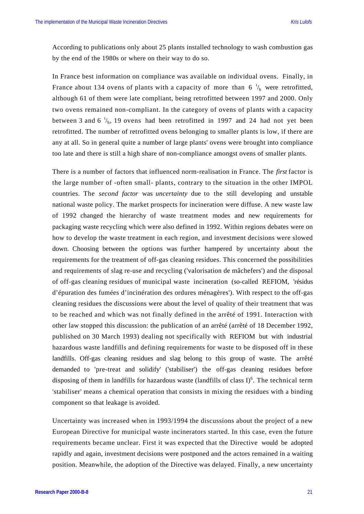According to publications only about 25 plants installed technology to wash combustion gas by the end of the 1980s or where on their way to do so.

In France best information on compliance was available on individual ovens. Finally, in France about 134 ovens of plants with a capacity of more than 6  $\frac{t}{h}$  were retrofitted, although 61 of them were late compliant, being retrofitted between 1997 and 2000. Only two ovens remained non-compliant. In the category of ovens of plants with a capacity between 3 and 6  $\frac{t}{h}$ , 19 ovens had been retrofitted in 1997 and 24 had not yet been retrofitted. The number of retrofitted ovens belonging to smaller plants is low, if there are any at all. So in general quite a number of large plants' ovens were brought into compliance too late and there is still a high share of non-compliance amongst ovens of smaller plants.

There is a number of factors that influenced norm-realisation in France. The *first* factor is the large number of -often small- plants, contrary to the situation in the other IMPOL countries. The *second factor* was *uncertainty* due to the still developing and unstable national waste policy. The market prospects for incineration were diffuse. A new waste law of 1992 changed the hierarchy of waste treatment modes and new requirements for packaging waste recycling which were also defined in 1992. Within regions debates were on how to develop the waste treatment in each region, and investment decisions were slowed down. Choosing between the options was further hampered by uncertainty about the requirements for the treatment of off-gas cleaning residues. This concerned the possibilities and requirements of slag re-use and recycling ('valorisation de mâchefers') and the disposal of off-gas cleaning residues of municipal waste incineration (so-called REFIOM, 'résidus d'épuration des fumées d'incinération des ordures ménagères'). With respect to the off-gas cleaning residues the discussions were about the level of quality of their treatment that was to be reached and which was not finally defined in the arrêté of 1991. Interaction with other law stopped this discussion: the publication of an arrêté (arrêté of 18 December 1992, published on 30 March 1993) dealing not specifically with REFIOM but with industrial hazardous waste landfills and defining requirements for waste to be disposed off in these landfills. Off-gas cleaning residues and slag belong to this group of waste. The arrêté demanded to 'pre-treat and solidify' ('stabiliser') the off-gas cleaning residues before disposing of them in landfills for hazardous waste (landfills of class  $I^{6}$ ). The technical term 'stabiliser' means a chemical operation that consists in mixing the residues with a binding component so that leakage is avoided.

Uncertainty was increased when in 1993/1994 the discussions about the project of a new European Directive for municipal waste incinerators started. In this case, even the future requirements became unclear. First it was expected that the Directive would be adopted rapidly and again, investment decisions were postponed and the actors remained in a waiting position. Meanwhile, the adoption of the Directive was delayed. Finally, a new uncertainty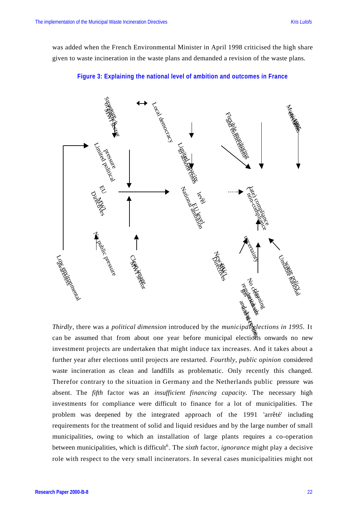was added when the French Environmental Minister in April 1998 criticised the high share given to waste incineration in the waste plans and demanded a revision of the waste plans.



#### **Figure 3: Explaining the national level of ambition and outcomes in France**

*Thirdly*, there was a *political dimension* introduced by the *municipal elections in 1995*. It can be assumed that from about one year before municipal elections onwards no new investment projects are undertaken that might induce tax increases. And it takes about a further year after elections until projects are restarted. *Fourthly, public opinion* considered waste incineration as clean and landfills as problematic. Only recently this changed. Therefor contrary to the situation in Germany and the Netherlands public pressure was absent. The *fifth* factor was an *insufficient financing capacity.* The necessary high investments for compliance were difficult to finance for a lot of municipalities. The problem was deepened by the integrated approach of the 1991 'arrêté' including requirements for the treatment of solid and liquid residues and by the large number of small municipalities, owing to which an installation of large plants requires a co-operation between municipalities, which is difficult<sup>6</sup>. The *sixth* factor, *ignorance* might play a decisive role with respect to the very small incinerators. In several cases municipalities might not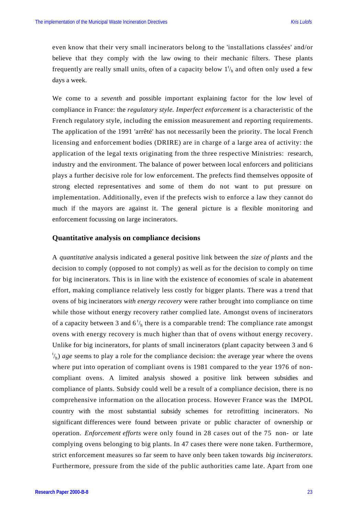even know that their very small incinerators belong to the 'installations classées' and/or believe that they comply with the law owing to their mechanic filters. These plants frequently are really small units, often of a capacity below  $1<sup>t</sup>/<sub>h</sub>$  and often only used a few days a week.

We come to a *seventh* and possible important explaining factor for the low level of compliance in France: the *regulatory style. Imperfect enforcement* is a characteristic of the French regulatory style, including the emission measurement and reporting requirements. The application of the 1991 'arrêté' has not necessarily been the priority. The local French licensing and enforcement bodies (DRIRE) are in charge of a large area of activity: the application of the legal texts originating from the three respective Ministries: research, industry and the environment. The balance of power between local enforcers and politicians plays a further decisive role for low enforcement. The prefects find themselves opposite of strong elected representatives and some of them do not want to put pressure on implementation. Additionally, even if the prefects wish to enforce a law they cannot do much if the mayors are against it. The general picture is a flexible monitoring and enforcement focussing on large incinerators.

#### **Quantitative analysis on compliance decisions**

A *quantitative* analysis indicated a general positive link between the *size of plants* and the decision to comply (opposed to not comply) as well as for the decision to comply on time for big incinerators. This is in line with the existence of economies of scale in abatement effort, making compliance relatively less costly for bigger plants. There was a trend that ovens of big incinerators *with energy recovery* were rather brought into compliance on time while those without energy recovery rather complied late. Amongst ovens of incinerators of a capacity between 3 and  $6\frac{t}{h}$  there is a comparable trend: The compliance rate amongst ovens with energy recovery is much higher than that of ovens without energy recovery. Unlike for big incinerators, for plants of small incinerators (plant capacity between 3 and 6 <sup>t</sup>/<sub>h</sub>) *age* seems to play a role for the compliance decision: the average year where the ovens where put into operation of compliant ovens is 1981 compared to the year 1976 of noncompliant ovens. A limited analysis showed a positive link between subsidies and compliance of plants. Subsidy could well be a result of a compliance decision, there is no comprehensive information on the allocation process. However France was the IMPOL country with the most substantial subsidy schemes for retrofitting incinerators. No significant differences were found between private or public character of ownership or operation. *Enforcement efforts* were only found in 28 cases out of the 75 non- or late complying ovens belonging to big plants. In 47 cases there were none taken. Furthermore, strict enforcement measures so far seem to have only been taken towards *big incinerators*. Furthermore, pressure from the side of the public authorities came late. Apart from one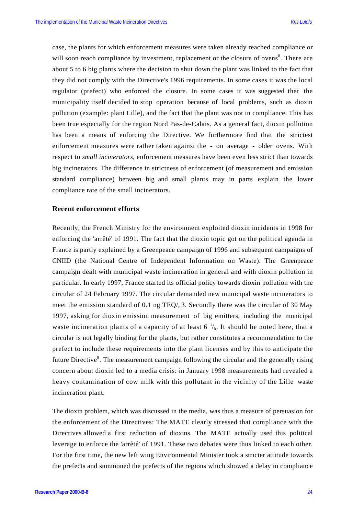case, the plants for which enforcement measures were taken already reached compliance or will soon reach compliance by investment, replacement or the closure of ovens<sup>8</sup>. There are about 5 to 6 big plants where the decision to shut down the plant was linked to the fact that they did not comply with the Directive's 1996 requirements. In some cases it was the local regulator (prefect) who enforced the closure. In some cases it was suggested that the municipality itself decided to stop operation because of local problems, such as dioxin pollution (example: plant Lille), and the fact that the plant was not in compliance. This has been true especially for the region Nord Pas-de-Calais. As a general fact, dioxin pollution has been a means of enforcing the Directive. We furthermore find that the strictest enforcement measures were rather taken against the - on average - older ovens. With respect to *small incinerators*, enforcement measures have been even less strict than towards big incinerators. The difference in strictness of enforcement (of measurement and emission standard compliance) between big and small plants may in parts explain the lower compliance rate of the small incinerators.

#### **Recent enforcement efforts**

Recently, the French Ministry for the environment exploited dioxin incidents in 1998 for enforcing the 'arrêté' of 1991. The fact that the dioxin topic got on the political agenda in France is partly explained by a Greenpeace campaign of 1996 and subsequent campaigns of CNIID (the National Centre of Independent Information on Waste). The Greenpeace campaign dealt with municipal waste incineration in general and with dioxin pollution in particular. In early 1997, France started its official policy towards dioxin pollution with the circular of 24 February 1997. The circular demanded new municipal waste incinerators to meet the emission standard of 0.1 ng  $TEQ/m<sub>m</sub>$ 3. Secondly there was the circular of 30 May 1997, asking for dioxin emission measurement of big emitters, including the municipal waste incineration plants of a capacity of at least 6  $\frac{t}{h}$ . It should be noted here, that a circular is not legally binding for the plants, but rather constitutes a recommendation to the prefect to include these requirements into the plant licenses and by this to anticipate the future Directive<sup>9</sup>. The measurement campaign following the circular and the generally rising concern about dioxin led to a media crisis: in January 1998 measurements had revealed a heavy contamination of cow milk with this pollutant in the vicinity of the Lille waste incineration plant.

The dioxin problem, which was discussed in the media, was thus a measure of persuasion for the enforcement of the Directives: The MATE clearly stressed that compliance with the Directives allowed a first reduction of dioxins. The MATE actually used this political leverage to enforce the 'arrêté' of 1991. These two debates were thus linked to each other. For the first time, the new left wing Environmental Minister took a stricter attitude towards the prefects and summoned the prefects of the regions which showed a delay in compliance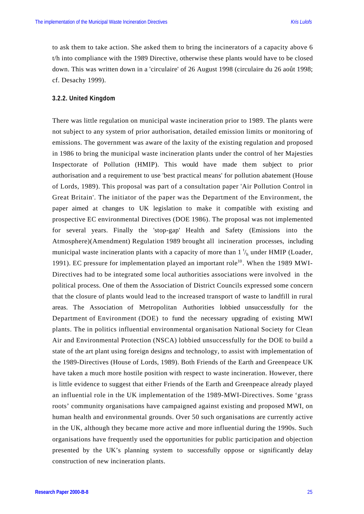to ask them to take action. She asked them to bring the incinerators of a capacity above 6 t/h into compliance with the 1989 Directive, otherwise these plants would have to be closed down. This was written down in a 'circulaire' of 26 August 1998 (circulaire du 26 août 1998; cf. Desachy 1999).

#### **3.2.2. United Kingdom**

There was little regulation on municipal waste incineration prior to 1989. The plants were not subject to any system of prior authorisation, detailed emission limits or monitoring of emissions. The government was aware of the laxity of the existing regulation and proposed in 1986 to bring the municipal waste incineration plants under the control of her Majesties Inspectorate of Pollution (HMIP). This would have made them subject to prior authorisation and a requirement to use 'best practical means' for pollution abatement (House of Lords, 1989). This proposal was part of a consultation paper 'Air Pollution Control in Great Britain'. The initiator of the paper was the Department of the Environment, the paper aimed at changes to UK legislation to make it compatible with existing and prospective EC environmental Directives (DOE 1986). The proposal was not implemented for several years. Finally the 'stop-gap' Health and Safety (Emissions into the Atmosphere)(Amendment) Regulation 1989 brought all incineration processes, including municipal waste incineration plants with a capacity of more than  $1 \frac{t}{h}$  under HMIP (Loader, 1991). EC pressure for implementation played an important role<sup>10</sup>. When the 1989 MWI-Directives had to be integrated some local authorities associations were involved in the political process. One of them the Association of District Councils expressed some concern that the closure of plants would lead to the increased transport of waste to landfill in rural areas. The Association of Metropolitan Authorities lobbied unsuccessfully for the Department of Environment (DOE) to fund the necessary upgrading of existing MWI plants. The in politics influential environmental organisation National Society for Clean Air and Environmental Protection (NSCA) lobbied unsuccessfully for the DOE to build a state of the art plant using foreign designs and technology, to assist with implementation of the 1989-Directives (House of Lords, 1989). Both Friends of the Earth and Greenpeace UK have taken a much more hostile position with respect to waste incineration. However, there is little evidence to suggest that either Friends of the Earth and Greenpeace already played an influential role in the UK implementation of the 1989-MWI-Directives. Some 'grass roots' community organisations have campaigned against existing and proposed MWI, on human health and environmental grounds. Over 50 such organisations are currently active in the UK, although they became more active and more influential during the 1990s. Such organisations have frequently used the opportunities for public participation and objection presented by the UK's planning system to successfully oppose or significantly delay construction of new incineration plants.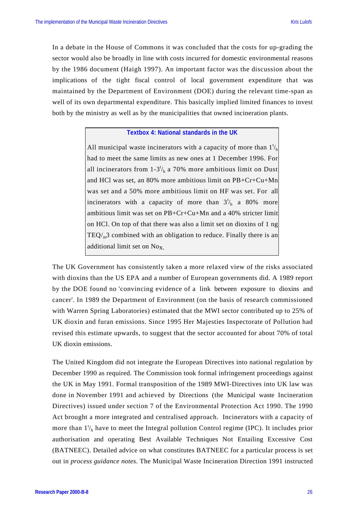In a debate in the House of Commons it was concluded that the costs for up-grading the sector would also be broadly in line with costs incurred for domestic environmental reasons by the 1986 document (Haigh 1997). An important factor was the discussion about the implications of the tight fiscal control of local government expenditure that was maintained by the Department of Environment (DOE) during the relevant time-span as well of its own departmental expenditure. This basically implied limited finances to invest both by the ministry as well as by the municipalities that owned incineration plants.

#### **Textbox 4: National standards in the UK**

All municipal waste incinerators with a capacity of more than  $1<sup>t</sup>/h$ had to meet the same limits as new ones at 1 December 1996. For all incinerators from  $1-3^{t}/_{h}$  a 70% more ambitious limit on Dust and HCl was set, an 80% more ambitious limit on PB+Cr+Cu+Mn was set and a 50% more ambitious limit on HF was set. For all incinerators with a capacity of more than  $3<sup>t</sup>/h$  a 80% more ambitious limit was set on PB+Cr+Cu+Mn and a 40% stricter limit on HCl. On top of that there was also a limit set on dioxins of 1 ng  $TEQ/m<sup>3</sup>$  combined with an obligation to reduce. Finally there is an additional limit set on Nox.

The UK Government has consistently taken a more relaxed view of the risks associated with dioxins than the US EPA and a number of European governments did. A 1989 report by the DOE found no 'convincing evidence of a link between exposure to dioxins and cancer'. In 1989 the Department of Environment (on the basis of research commissioned with Warren Spring Laboratories) estimated that the MWI sector contributed up to 25% of UK dioxin and furan emissions. Since 1995 Her Majesties Inspectorate of Pollution had revised this estimate upwards, to suggest that the sector accounted for about 70% of total UK dioxin emissions.

The United Kingdom did not integrate the European Directives into national regulation by December 1990 as required. The Commission took formal infringement proceedings against the UK in May 1991. Formal transposition of the 1989 MWI-Directives into UK law was done in November 1991 and achieved by Directions (the Municipal waste Incineration Directives) issued under section 7 of the Environmental Protection Act 1990. The 1990 Act brought a more integrated and centralised approach. Incinerators with a capacity of more than  $1_{h}^{t}$  have to meet the Integral pollution Control regime (IPC). It includes prior authorisation and operating Best Available Techniques Not Entailing Excessive Cost (BATNEEC). Detailed advice on what constitutes BATNEEC for a particular process is set out in *process guidance notes*. The Municipal Waste Incineration Direction 1991 instructed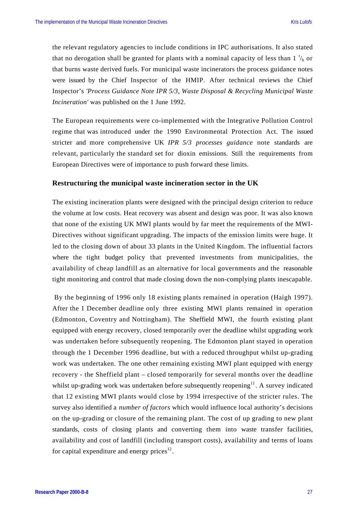the relevant regulatory agencies to include conditions in IPC authorisations. It also stated that no derogation shall be granted for plants with a nominal capacity of less than  $1 \frac{t}{h}$  or that burns waste derived fuels. For municipal waste incinerators the process guidance notes were issued by the Chief Inspector of the HMIP. After technical reviews the Chief Inspector's *'Process Guidance Note IPR 5/3, Waste Disposal & Recycling Municipal Waste Incineration'* was published on the 1 June 1992.

The European requirements were co-implemented with the Integrative Pollution Control regime that was introduced under the 1990 Environmental Protection Act. The issued stricter and more comprehensive UK *IPR 5/3 processes guidance* note standards are relevant, particularly the standard set for dioxin emissions. Still the requirements from European Directives were of importance to push forward these limits.

#### **Restructuring the municipal waste incineration sector in the UK**

The existing incineration plants were designed with the principal design criterion to reduce the volume at low costs. Heat recovery was absent and design was poor. It was also known that none of the existing UK MWI plants would by far meet the requirements of the MWI-Directives without significant upgrading. The impacts of the emission limits were huge. It led to the closing down of about 33 plants in the United Kingdom. The influential factors where the tight budget policy that prevented investments from municipalities, the availability of cheap landfill as an alternative for local governments and the reasonable tight monitoring and control that made closing down the non-complying plants inescapable.

 By the beginning of 1996 only 18 existing plants remained in operation (Haigh 1997). After the 1 December deadline only three existing MWI plants remained in operation (Edmonton, Coventry and Nottingham). The Sheffield MWI, the fourth existing plant equipped with energy recovery, closed temporarily over the deadline whilst upgrading work was undertaken before subsequently reopening. The Edmonton plant stayed in operation through the 1 December 1996 deadline, but with a reduced throughput whilst up-grading work was undertaken. The one other remaining existing MWI plant equipped with energy recovery - the Sheffield plant – closed temporarily for several months over the deadline whilst up-grading work was undertaken before subsequently reopening<sup>11</sup>. A survey indicated that 12 existing MWI plants would close by 1994 irrespective of the stricter rules. The survey also identified a *number of factors* which would influence local authority's decisions on the up-grading or closure of the remaining plant. The cost of up grading to new plant standards, costs of closing plants and converting them into waste transfer facilities, availability and cost of landfill (including transport costs), availability and terms of loans for capital expenditure and energy prices $^{12}$ .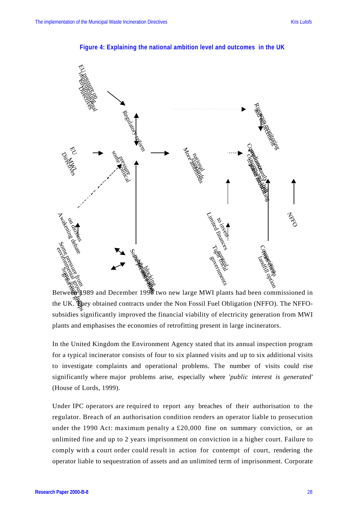

**Figure 4: Explaining the national ambition level and outcomes in the UK**

the UK. They obtained contracts under the Non Fossil Fuel Obligation (NFFO). The NFFOsubsidies significantly improved the financial viability of electricity generation from MWI plants and emphasises the economies of retrofitting present in large incinerators.

In the United Kingdom the Environment Agency stated that its annual inspection program for a typical incinerator consists of four to six planned visits and up to six additional visits to investigate complaints and operational problems. The number of visits could rise significantly where major problems arise, especially where '*public interest is generated'* (House of Lords, 1999).

Under IPC operators are required to report any breaches of their authorisation to the regulator. Breach of an authorisation condition renders an operator liable to prosecution under the 1990 Act: maximum penalty a  $£20,000$  fine on summary conviction, or an unlimited fine and up to 2 years imprisonment on conviction in a higher court. Failure to comply with a court order could result in action for contempt of court, rendering the operator liable to sequestration of assets and an unlimited term of imprisonment. Corporate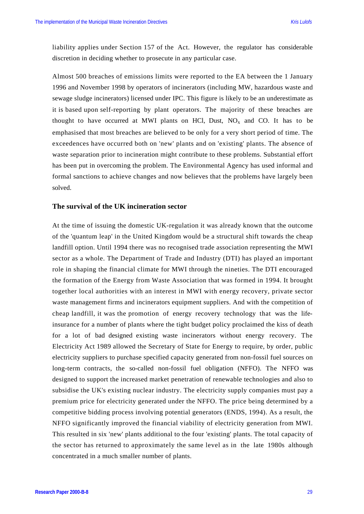liability applies under Section 157 of the Act. However, the regulator has considerable discretion in deciding whether to prosecute in any particular case.

Almost 500 breaches of emissions limits were reported to the EA between the 1 January 1996 and November 1998 by operators of incinerators (including MW, hazardous waste and sewage sludge incinerators) licensed under IPC. This figure is likely to be an underestimate as it is based upon self-reporting by plant operators. The majority of these breaches are thought to have occurred at MWI plants on HCl, Dust,  $NO<sub>x</sub>$  and CO. It has to be emphasised that most breaches are believed to be only for a very short period of time. The exceedences have occurred both on 'new' plants and on 'existing' plants. The absence of waste separation prior to incineration might contribute to these problems. Substantial effort has been put in overcoming the problem. The Environmental Agency has used informal and formal sanctions to achieve changes and now believes that the problems have largely been solved.

#### **The survival of the UK incineration sector**

At the time of issuing the domestic UK-regulation it was already known that the outcome of the 'quantum leap' in the United Kingdom would be a structural shift towards the cheap landfill option. Until 1994 there was no recognised trade association representing the MWI sector as a whole. The Department of Trade and Industry (DTI) has played an important role in shaping the financial climate for MWI through the nineties. The DTI encouraged the formation of the Energy from Waste Association that was formed in 1994. It brought together local authorities with an interest in MWI with energy recovery, private sector waste management firms and incinerators equipment suppliers. And with the competition of cheap landfill, it was the promotion of energy recovery technology that was the lifeinsurance for a number of plants where the tight budget policy proclaimed the kiss of death for a lot of bad designed existing waste incinerators without energy recovery. The Electricity Act 1989 allowed the Secretary of State for Energy to require, by order, public electricity suppliers to purchase specified capacity generated from non-fossil fuel sources on long-term contracts, the so-called non-fossil fuel obligation (NFFO). The NFFO was designed to support the increased market penetration of renewable technologies and also to subsidise the UK's existing nuclear industry. The electricity supply companies must pay a premium price for electricity generated under the NFFO. The price being determined by a competitive bidding process involving potential generators (ENDS, 1994). As a result, the NFFO significantly improved the financial viability of electricity generation from MWI. This resulted in six 'new' plants additional to the four 'existing' plants. The total capacity of the sector has returned to approximately the same level as in the late 1980s although concentrated in a much smaller number of plants.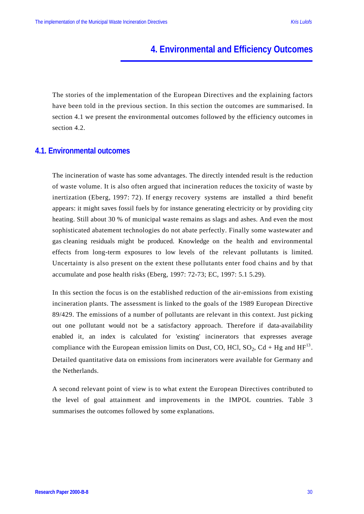# **4. Environmental and Efficiency Outcomes**

The stories of the implementation of the European Directives and the explaining factors have been told in the previous section. In this section the outcomes are summarised. In section 4.1 we present the environmental outcomes followed by the efficiency outcomes in section 4.2.

#### **4.1. Environmental outcomes**

The incineration of waste has some advantages. The directly intended result is the reduction of waste volume. It is also often argued that incineration reduces the toxicity of waste by inertization (Eberg, 1997: 72). If energy recovery systems are installed a third benefit appears: it might saves fossil fuels by for instance generating electricity or by providing city heating. Still about 30 % of municipal waste remains as slags and ashes. And even the most sophisticated abatement technologies do not abate perfectly. Finally some wastewater and gas cleaning residuals might be produced. Knowledge on the health and environmental effects from long-term exposures to low levels of the relevant pollutants is limited. Uncertainty is also present on the extent these pollutants enter food chains and by that accumulate and pose health risks (Eberg, 1997: 72-73; EC, 1997: 5.1 5.29).

In this section the focus is on the established reduction of the air-emissions from existing incineration plants. The assessment is linked to the goals of the 1989 European Directive 89/429. The emissions of a number of pollutants are relevant in this context. Just picking out one pollutant would not be a satisfactory approach. Therefore if data-availability enabled it, an index is calculated for 'existing' incinerators that expresses average compliance with the European emission limits on Dust, CO, HCl,  $SO_2$ , Cd + Hg and HF<sup>13</sup>. Detailed quantitative data on emissions from incinerators were available for Germany and the Netherlands.

A second relevant point of view is to what extent the European Directives contributed to the level of goal attainment and improvements in the IMPOL countries. Table 3 summarises the outcomes followed by some explanations.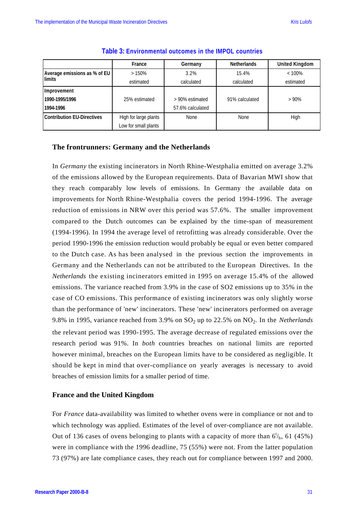|                                   | France                | Germany          | <b>Netherlands</b> | <b>United Kingdom</b> |
|-----------------------------------|-----------------------|------------------|--------------------|-----------------------|
| Average emissions as % of EU      | >150%                 | 3.2%             | 15.4%              | $< 100\%$             |
| <b>limits</b>                     | estimated             | calculated       | calculated         | estimated             |
| Improvement                       |                       |                  |                    |                       |
| 1990-1995/1996                    | 25% estimated         | > 90% estimated  | 91% calculated     | >90%                  |
| 1994-1996                         |                       | 57.6% calculated |                    |                       |
| <b>Contribution EU-Directives</b> | High for large plants | None             | <b>None</b>        | High                  |
|                                   | Low for small plants  |                  |                    |                       |

#### **Table 3: Environmental outcomes in the IMPOL countries**

#### **The frontrunners: Germany and the Netherlands**

In *Germany* the existing incinerators in North Rhine-Westphalia emitted on average 3.2% of the emissions allowed by the European requirements. Data of Bavarian MWI show that they reach comparably low levels of emissions. In Germany the available data on improvements for North Rhine-Westphalia covers the period 1994-1996. The average reduction of emissions in NRW over this period was 57.6%. The smaller improvement compared to the Dutch outcomes can be explained by the time-span of measurement (1994-1996). In 1994 the average level of retrofitting was already considerable. Over the period 1990-1996 the emission reduction would probably be equal or even better compared to the Dutch case. As has been analysed in the previous section the improvements in Germany and the Netherlands can not be attributed to the European Directives. In the *Netherlands* the existing incinerators emitted in 1995 on average 15.4% of the allowed emissions. The variance reached from 3.9% in the case of SO2 emissions up to 35% in the case of CO emissions. This performance of existing incinerators was only slightly worse than the performance of 'new' incinerators. These 'new' incinerators performed on average 9.8% in 1995, variance reached from 3.9% on  $SO_2$  up to 22.5% on  $NO_2$ . In the *Netherlands* the relevant period was 1990-1995. The average decrease of regulated emissions over the research period was 91%. In *both* countries breaches on national limits are reported however minimal, breaches on the European limits have to be considered as negligible. It should be kept in mind that over-compliance on yearly averages is necessary to avoid breaches of emission limits for a smaller period of time.

#### **France and the United Kingdom**

For *France* data-availability was limited to whether ovens were in compliance or not and to which technology was applied. Estimates of the level of over-compliance are not available. Out of 136 cases of ovens belonging to plants with a capacity of more than  $6<sup>t</sup>_h$ , 61 (45%) were in compliance with the 1996 deadline, 75 (55%) were not. From the latter population 73 (97%) are late compliance cases, they reach out for compliance between 1997 and 2000.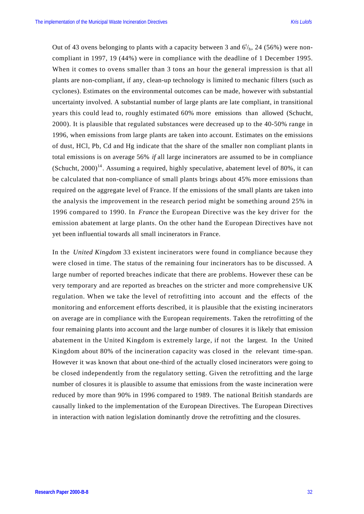Out of 43 ovens belonging to plants with a capacity between 3 and  $6<sup>t</sup>/<sub>h</sub>$ , 24 (56%) were noncompliant in 1997, 19 (44%) were in compliance with the deadline of 1 December 1995. When it comes to ovens smaller than 3 tons an hour the general impression is that all plants are non-compliant, if any, clean-up technology is limited to mechanic filters (such as cyclones). Estimates on the environmental outcomes can be made, however with substantial uncertainty involved. A substantial number of large plants are late compliant, in transitional years this could lead to, roughly estimated 60% more emissions than allowed (Schucht, 2000). It is plausible that regulated substances were decreased up to the 40-50% range in 1996, when emissions from large plants are taken into account. Estimates on the emissions of dust, HCl, Pb, Cd and Hg indicate that the share of the smaller non compliant plants in total emissions is on average 56% *if* all large incinerators are assumed to be in compliance (Schucht,  $2000$ <sup>14</sup>. Assuming a required, highly speculative, abatement level of 80%, it can be calculated that non-compliance of small plants brings about 45% more emissions than required on the aggregate level of France. If the emissions of the small plants are taken into the analysis the improvement in the research period might be something around 25% in 1996 compared to 1990. In *France* the European Directive was the key driver for the emission abatement at large plants. On the other hand the European Directives have not yet been influential towards all small incinerators in France.

In the *United Kingdom* 33 existent incinerators were found in compliance because they were closed in time. The status of the remaining four incinerators has to be discussed. A large number of reported breaches indicate that there are problems. However these can be very temporary and are reported as breaches on the stricter and more comprehensive UK regulation. When we take the level of retrofitting into account and the effects of the monitoring and enforcement efforts described, it is plausible that the existing incinerators on average are in compliance with the European requirements. Taken the retrofitting of the four remaining plants into account and the large number of closures it is likely that emission abatement in the United Kingdom is extremely large, if not the largest. In the United Kingdom about 80% of the incineration capacity was closed in the relevant time-span. However it was known that about one-third of the actually closed incinerators were going to be closed independently from the regulatory setting. Given the retrofitting and the large number of closures it is plausible to assume that emissions from the waste incineration were reduced by more than 90% in 1996 compared to 1989. The national British standards are causally linked to the implementation of the European Directives. The European Directives in interaction with nation legislation dominantly drove the retrofitting and the closures.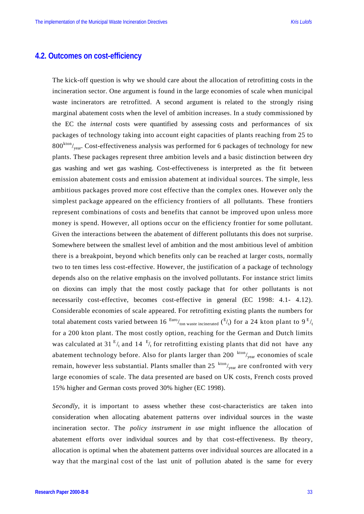#### **4.2. Outcomes on cost-efficiency**

The kick-off question is why we should care about the allocation of retrofitting costs in the incineration sector. One argument is found in the large economies of scale when municipal waste incinerators are retrofitted. A second argument is related to the strongly rising marginal abatement costs when the level of ambition increases. In a study commissioned by the EC the *internal* costs were quantified by assessing costs and performances of six packages of technology taking into account eight capacities of plants reaching from 25 to  $800^{kton}/_{year}$ . Cost-effectiveness analysis was performed for 6 packages of technology for new plants. These packages represent three ambition levels and a basic distinction between dry gas washing and wet gas washing. Cost-effectiveness is interpreted as the fit between emission abatement costs and emission abatement at individual sources. The simple, less ambitious packages proved more cost effective than the complex ones. However only the simplest package appeared on the efficiency frontiers of all pollutants. These frontiers represent combinations of costs and benefits that cannot be improved upon unless more money is spend. However, all options occur on the efficiency frontier for some pollutant. Given the interactions between the abatement of different pollutants this does not surprise. Somewhere between the smallest level of ambition and the most ambitious level of ambition there is a breakpoint, beyond which benefits only can be reached at larger costs, normally two to ten times less cost-effective. However, the justification of a package of technology depends also on the relative emphasis on the involved pollutants. For instance strict limits on dioxins can imply that the most costly package that for other pollutants is not necessarily cost-effective, becomes cost-effective in general (EC 1998: 4.1- 4.12). Considerable economies of scale appeared. For retrofitting existing plants the numbers for total abatement costs varied between 16  $\frac{\text{Eurol}}{\text{ton waste incinerated}}$  ( $\frac{\text{E}}{\text{t}}$ ) for a 24 kton plant to 9  $\frac{\text{E}}{\text{t}}$ for a 200 kton plant. The most costly option, reaching for the German and Dutch limits was calculated at 31  $E/t$  and 14  $E/t$  for retrofitting existing plants that did not have any abatement technology before. Also for plants larger than 200  $kton/_{year}$  economies of scale remain, however less substantial. Plants smaller than 25  $kton/_{year}$  are confronted with very large economies of scale. The data presented are based on UK costs, French costs proved 15% higher and German costs proved 30% higher (EC 1998).

*Secondly*, it is important to assess whether these cost-characteristics are taken into consideration when allocating abatement patterns over individual sources in the waste incineration sector. The *policy instrument in use* might influence the allocation of abatement efforts over individual sources and by that cost-effectiveness. By theory, allocation is optimal when the abatement patterns over individual sources are allocated in a way that the marginal cost of the last unit of pollution abated is the same for every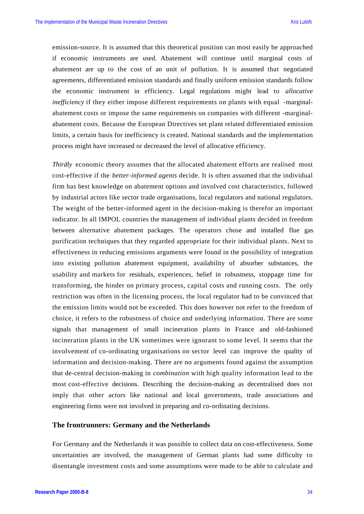emission-source. It is assumed that this theoretical position can most easily be approached if economic instruments are used. Abatement will continue until marginal costs of abatement are up to the cost of an unit of pollution. It is assumed that negotiated agreements, differentiated emission standards and finally uniform emission standards follow the economic instrument in efficiency. Legal regulations might lead to *allocative inefficiency* if they either impose different requirements on plants with equal -marginalabatement costs or impose the same requirements on companies with different -marginalabatement costs. Because the European Directives set plant related differentiated emission limits, a certain basis for inefficiency is created. National standards and the implementation process might have increased or decreased the level of allocative efficiency.

*Thirdly* economic theory assumes that the allocated abatement efforts are realised most cost-effective if the *better-informed agents* decide. It is often assumed that the individual firm has best knowledge on abatement options and involved cost characteristics, followed by industrial actors like sector trade organisations, local regulators and national regulators. The weight of the better-informed agent in the decision-making is therefor an important indicator. In all IMPOL countries the management of individual plants decided in freedom between alternative abatement packages. The operators chose and installed flue gas purification techniques that they regarded appropriate for their individual plants. Next to effectiveness in reducing emissions arguments were found in the possibility of integration into existing pollution abatement equipment, availability of absorber substances, the usability and markets for residuals, experiences, belief in robustness, stoppage time for transforming, the hinder on primary process, capital costs and running costs. The only restriction was often in the licensing process, the local regulator had to be convinced that the emission limits would not be exceeded. This does however not refer to the freedom of choice, it refers to the robustness of choice and underlying information. There are some signals that management of small incineration plants in France and old-fashioned incineration plants in the UK sometimes were ignorant to some level. It seems that the involvement of co-ordinating organisations on sector level can improve the quality of information and decision-making. There are no arguments found against the assumption that de-central decision-making in *combination* with high quality information lead to the most cost-effective decisions. Describing the decision-making as decentralised does not imply that other actors like national and local governments, trade associations and engineering firms were not involved in preparing and co-ordinating decisions.

#### **The frontrunners: Germany and the Netherlands**

For Germany and the Netherlands it was possible to collect data on cost-effectiveness. Some uncertainties are involved, the management of German plants had some difficulty to disentangle investment costs and some assumptions were made to be able to calculate and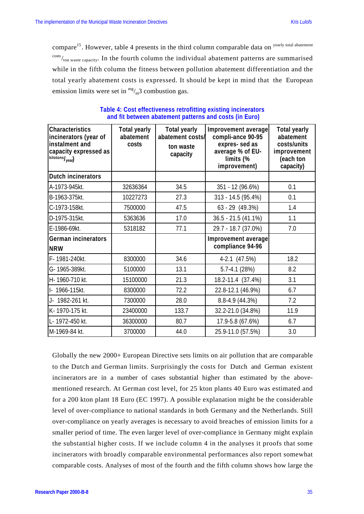compare<sup>15</sup>. However, table 4 presents in the third column comparable data on yearly total abatement  $\frac{\text{costs}}{\text{ton waste capacity}}$ . In the fourth column the individual abatement patterns are summarised while in the fifth column the fitness between pollution abatement differentiation and the total yearly abatement costs is expressed. It should be kept in mind that the European emission limits were set in  $\frac{mg}{m^3}$  combustion gas.

| <b>Characteristics</b><br>incinerators (year of<br>instalment and<br>capacity expressed as<br>kilotons/ <sub>year</sub> ) | <b>Total yearly</b><br>abatement<br>costs | <b>Total yearly</b><br>abatement costs/<br>ton waste<br>capacity | Improvement average<br>compli-ance 90-95<br>expres-sed as<br>average % of EU-<br>limits (%<br>improvement) | <b>Total yearly</b><br>abatement<br>costs/units<br>improvement<br>(each ton<br>capacity) |
|---------------------------------------------------------------------------------------------------------------------------|-------------------------------------------|------------------------------------------------------------------|------------------------------------------------------------------------------------------------------------|------------------------------------------------------------------------------------------|
| <b>Dutch incinerators</b>                                                                                                 |                                           |                                                                  |                                                                                                            |                                                                                          |
| A-1973-945kt.                                                                                                             | 32636364                                  | 34.5                                                             | 351 - 12 (96.6%)                                                                                           | 0.1                                                                                      |
| B-1963-375kt.                                                                                                             | 10227273                                  | 27.3                                                             | 313 - 14.5 (95.4%)                                                                                         | 0.1                                                                                      |
| C-1973-158kt.                                                                                                             | 7500000                                   | 47.5                                                             | 63 - 29 (49.3%)                                                                                            | 1.4                                                                                      |
| D-1975-315kt.                                                                                                             | 5363636                                   | 17.0                                                             | $36.5 - 21.5(41.1%)$                                                                                       | 1.1                                                                                      |
| E-1986-69kt.                                                                                                              | 5318182                                   | 77.1                                                             | 29.7 - 18.7 (37.0%)                                                                                        | 7.0                                                                                      |
| German incinerators<br><b>NRW</b>                                                                                         |                                           |                                                                  | Improvement average<br>compliance 94-96                                                                    |                                                                                          |
| F-1981-240kt.                                                                                                             | 8300000                                   | 34.6                                                             | 4-2.1 (47.5%)                                                                                              | 18.2                                                                                     |
| G-1965-389kt.                                                                                                             | 5100000                                   | 13.1                                                             | $5.7 - 4.1(28%)$                                                                                           | 8.2                                                                                      |
| H-1960-710 kt.                                                                                                            | 15100000                                  | 21.3                                                             | 18.2-11.4 (37.4%)                                                                                          | 3.1                                                                                      |
| I- 1966-115kt.                                                                                                            | 8300000                                   | 72.2                                                             | 22.8-12.1 (46.9%)                                                                                          | 6.7                                                                                      |
| J- 1982-261 kt.                                                                                                           | 7300000                                   | 28.0                                                             | 8.8-4.9 (44.3%)                                                                                            | 7.2                                                                                      |
| K-1970-175 kt.                                                                                                            | 23400000                                  | 133.7                                                            | 32.2-21.0 (34.8%)                                                                                          | 11.9                                                                                     |
| L- 1972-450 kt.                                                                                                           | 36300000                                  | 80.7                                                             | 17.9-5.8 (67.6%)                                                                                           | 6.7                                                                                      |
| M-1969-84 kt.                                                                                                             | 3700000                                   | 44.0                                                             | 25.9-11.0 (57.5%)                                                                                          | 3.0                                                                                      |

#### **Table 4: Cost effectiveness retrofitting existing incinerators and fit between abatement patterns and costs (in Euro)**

Globally the new 2000+ European Directive sets limits on air pollution that are comparable to the Dutch and German limits. Surprisingly the costs for Dutch and German existent incinerators are in a number of cases substantial higher than estimated by the abovementioned research. At German cost level, for 25 kton plants 40 Euro was estimated and for a 200 kton plant 18 Euro (EC 1997). A possible explanation might be the considerable level of over-compliance to national standards in both Germany and the Netherlands. Still over-compliance on yearly averages is necessary to avoid breaches of emission limits for a smaller period of time. The even larger level of over-compliance in Germany might explain the substantial higher costs. If we include column 4 in the analyses it proofs that some incinerators with broadly comparable environmental performances also report somewhat comparable costs. Analyses of most of the fourth and the fifth column shows how large the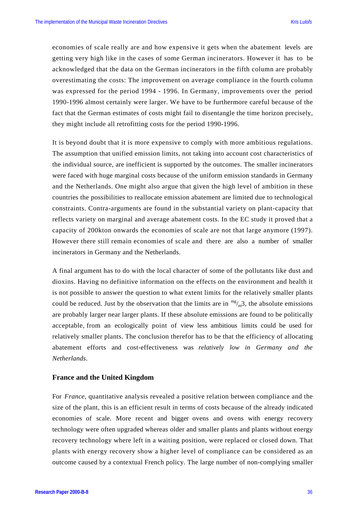economies of scale really are and how expensive it gets when the abatement levels are getting very high like in the cases of some German incinerators. However it has to be acknowledged that the data on the German incinerators in the fifth column are probably overestimating the costs: The improvement on average compliance in the fourth column was expressed for the period 1994 - 1996. In Germany, improvements over the period 1990-1996 almost certainly were larger. We have to be furthermore careful because of the fact that the German estimates of costs might fail to disentangle the time horizon precisely, they might include all retrofitting costs for the period 1990-1996.

It is beyond doubt that it is more expensive to comply with more ambitious regulations. The assumption that unified emission limits, not taking into account cost characteristics of the individual source, are inefficient is supported by the outcomes. The smaller incinerators were faced with huge marginal costs because of the uniform emission standards in Germany and the Netherlands. One might also argue that given the high level of ambition in these countries the possibilities to reallocate emission abatement are limited due to technological constraints. Contra-arguments are found in the substantial variety on plant-capacity that reflects variety on marginal and average abatement costs. In the EC study it proved that a capacity of 200kton onwards the economies of scale are not that large anymore (1997). However there still remain economies of scale and there are also a number of smaller incinerators in Germany and the Netherlands.

A final argument has to do with the local character of some of the pollutants like dust and dioxins. Having no definitive information on the effects on the environment and health it is not possible to answer the question to what extent limits for the relatively smaller plants could be reduced. Just by the observation that the limits are in  $\frac{mg}{m^3}$ , the absolute emissions are probably larger near larger plants. If these absolute emissions are found to be politically acceptable, from an ecologically point of view less ambitious limits could be used for relatively smaller plants. The conclusion therefor has to be that the efficiency of allocating abatement efforts and cost-effectiveness was *relatively low in Germany and the Netherlands*.

#### **France and the United Kingdom**

For *France*, quantitative analysis revealed a positive relation between compliance and the size of the plant, this is an efficient result in terms of costs because of the already indicated economies of scale. More recent and bigger ovens and ovens with energy recovery technology were often upgraded whereas older and smaller plants and plants without energy recovery technology where left in a waiting position, were replaced or closed down. That plants with energy recovery show a higher level of compliance can be considered as an outcome caused by a contextual French policy. The large number of non-complying smaller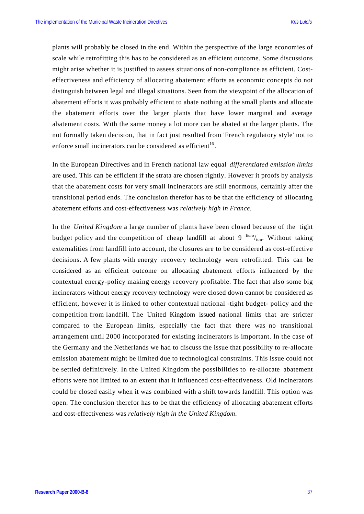plants will probably be closed in the end. Within the perspective of the large economies of scale while retrofitting this has to be considered as an efficient outcome. Some discussions might arise whether it is justified to assess situations of non-compliance as efficient. Costeffectiveness and efficiency of allocating abatement efforts as economic concepts do not distinguish between legal and illegal situations. Seen from the viewpoint of the allocation of abatement efforts it was probably efficient to abate nothing at the small plants and allocate the abatement efforts over the larger plants that have lower marginal and average abatement costs. With the same money a lot more can be abated at the larger plants. The not formally taken decision, that in fact just resulted from 'French regulatory style' not to enforce small incinerators can be considered as efficient<sup>16</sup>.

In the European Directives and in French national law equal *differentiated emission limits* are used. This can be efficient if the strata are chosen rightly. However it proofs by analysis that the abatement costs for very small incinerators are still enormous, certainly after the transitional period ends. The conclusion therefor has to be that the efficiency of allocating abatement efforts and cost-effectiveness was *relatively high in France*.

In the *United Kingdom* a large number of plants have been closed because of the tight budget policy and the competition of cheap landfill at about 9  $\frac{\text{Euro}}{\text{tan}}$ . Without taking externalities from landfill into account, the closures are to be considered as cost-effective decisions. A few plants with energy recovery technology were retrofitted. This can be considered as an efficient outcome on allocating abatement efforts influenced by the contextual energy-policy making energy recovery profitable. The fact that also some big incinerators without energy recovery technology were closed down cannot be considered as efficient, however it is linked to other contextual national -tight budget- policy and the competition from landfill. The United Kingdom issued national limits that are stricter compared to the European limits, especially the fact that there was no transitional arrangement until 2000 incorporated for existing incinerators is important. In the case of the Germany and the Netherlands we had to discuss the issue that possibility to re-allocate emission abatement might be limited due to technological constraints. This issue could not be settled definitively. In the United Kingdom the possibilities to re-allocate abatement efforts were not limited to an extent that it influenced cost-effectiveness. Old incinerators could be closed easily when it was combined with a shift towards landfill. This option was open. The conclusion therefor has to be that the efficiency of allocating abatement efforts and cost-effectiveness was *relatively high in the United Kingdom*.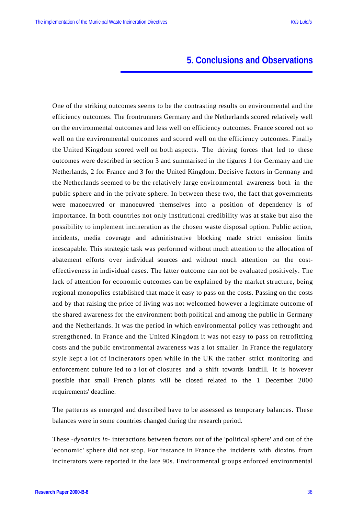# **5. Conclusions and Observations**

One of the striking outcomes seems to be the contrasting results on environmental and the efficiency outcomes. The frontrunners Germany and the Netherlands scored relatively well on the environmental outcomes and less well on efficiency outcomes. France scored not so well on the environmental outcomes and scored well on the efficiency outcomes. Finally the United Kingdom scored well on both aspects. The driving forces that led to these outcomes were described in section 3 and summarised in the figures 1 for Germany and the Netherlands, 2 for France and 3 for the United Kingdom. Decisive factors in Germany and the Netherlands seemed to be the relatively large environmental awareness both in the public sphere and in the private sphere. In between these two, the fact that governments were manoeuvred or manoeuvred themselves into a position of dependency is of importance. In both countries not only institutional credibility was at stake but also the possibility to implement incineration as the chosen waste disposal option. Public action, incidents, media coverage and administrative blocking made strict emission limits inescapable. This strategic task was performed without much attention to the allocation of abatement efforts over individual sources and without much attention on the costeffectiveness in individual cases. The latter outcome can not be evaluated positively. The lack of attention for economic outcomes can be explained by the market structure, being regional monopolies established that made it easy to pass on the costs. Passing on the costs and by that raising the price of living was not welcomed however a legitimate outcome of the shared awareness for the environment both political and among the public in Germany and the Netherlands. It was the period in which environmental policy was rethought and strengthened. In France and the United Kingdom it was not easy to pass on retrofitting costs and the public environmental awareness was a lot smaller. In France the regulatory style kept a lot of incinerators open while in the UK the rather strict monitoring and enforcement culture led to a lot of closures and a shift towards landfill. It is however possible that small French plants will be closed related to the 1 December 2000 requirements' deadline.

The patterns as emerged and described have to be assessed as temporary balances. These balances were in some countries changed during the research period.

These -*dynamics in*- interactions between factors out of the 'political sphere' and out of the 'economic' sphere did not stop. For instance in France the incidents with dioxins from incinerators were reported in the late 90s. Environmental groups enforced environmental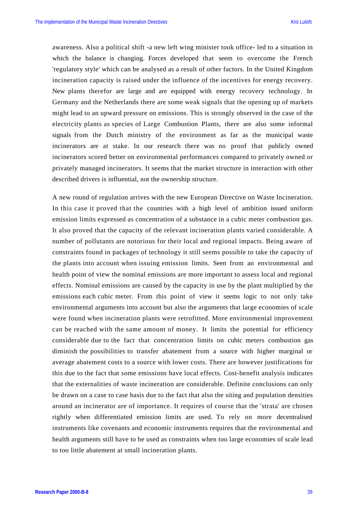awareness. Also a political shift -a new left wing minister took office- led to a situation in which the balance is changing. Forces developed that seem to overcome the French 'regulatory style' which can be analysed as a result of other factors. In the United Kingdom incineration capacity is raised under the influence of the incentives for energy recovery. New plants therefor are large and are equipped with energy recovery technology. In Germany and the Netherlands there are some weak signals that the opening up of markets might lead to an upward pressure on emissions. This is strongly observed in the case of the electricity plants as species of Large Combustion Plants, there are also some informal signals from the Dutch ministry of the environment as far as the municipal waste incinerators are at stake. In our research there was no proof that publicly owned incinerators scored better on environmental performances compared to privately owned or privately managed incinerators. It seems that the market structure in interaction with other described drivers is influential, not the ownership structure.

A new round of regulation arrives with the new European Directive on Waste Incineration. In this case it proved that the countries with a high level of ambition issued uniform emission limits expressed as concentration of a substance in a cubic meter combustion gas. It also proved that the capacity of the relevant incineration plants varied considerable. A number of pollutants are notorious for their local and regional impacts. Being aware of constraints found in packages of technology it still seems possible to take the capacity of the plants into account when issuing emission limits. Seen from an environmental and health point of view the nominal emissions are more important to assess local and regional effects. Nominal emissions are caused by the capacity in use by the plant multiplied by the emissions each cubic meter. From this point of view it seems logic to not only take environmental arguments into account but also the arguments that large economies of scale were found when incineration plants were retrofitted. More environmental improvement can be reached with the same amount of money. It limits the potential for efficiency considerable due to the fact that concentration limits on cubic meters combustion gas diminish the possibilities to transfer abatement from a source with higher marginal or average abatement costs to a source with lower costs. There are however justifications for this due to the fact that some emissions have local effects. Cost-benefit analysis indicates that the externalities of waste incineration are considerable. Definite conclusions can only be drawn on a case to case basis due to the fact that also the siting and population densities around an incinerator are of importance. It requires of course that the 'strata' are chosen rightly when differentiated emission limits are used. To rely on more decentralised instruments like covenants and economic instruments requires that the environmental and health arguments still have to be used as constraints when too large economies of scale lead to too little abatement at small incineration plants.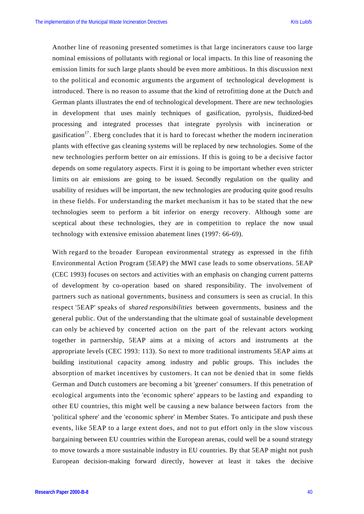Another line of reasoning presented sometimes is that large incinerators cause too large nominal emissions of pollutants with regional or local impacts. In this line of reasoning the emission limits for such large plants should be even more ambitious. In this discussion next to the political and economic arguments the argument of technological development is introduced. There is no reason to assume that the kind of retrofitting done at the Dutch and German plants illustrates the end of technological development. There are new technologies in development that uses mainly techniques of gasification, pyrolysis, fluidized-bed processing and integrated processes that integrate pyrolysis with incineration or gasification<sup>17</sup>. Eberg concludes that it is hard to forecast whether the modern incineration plants with effective gas cleaning systems will be replaced by new technologies. Some of the new technologies perform better on air emissions. If this is going to be a decisive factor depends on some regulatory aspects. First it is going to be important whether even stricter limits on air emissions are going to be issued. Secondly regulation on the quality and usability of residues will be important, the new technologies are producing quite good results in these fields. For understanding the market mechanism it has to be stated that the new technologies seem to perform a bit inferior on energy recovery. Although some are sceptical about these technologies, they are in competition to replace the now usual technology with extensive emission abatement lines (1997: 66-69).

With regard to the broader European environmental strategy as expressed in the fifth Environmental Action Program (5EAP) the MWI case leads to some observations. 5EAP (CEC 1993) focuses on sectors and activities with an emphasis on changing current patterns of development by co-operation based on shared responsibility. The involvement of partners such as national governments, business and consumers is seen as crucial. In this respect '5EAP' speaks of *shared responsibilities* between governments, business and the general public. Out of the understanding that the ultimate goal of sustainable development can only be achieved by concerted action on the part of the relevant actors working together in partnership, 5EAP aims at a mixing of actors and instruments at the appropriate levels (CEC 1993: 113). So next to more traditional instruments 5EAP aims at building institutional capacity among industry and public groups. This includes the absorption of market incentives by customers. It can not be denied that in some fields German and Dutch customers are becoming a bit 'greener' consumers. If this penetration of ecological arguments into the 'economic sphere' appears to be lasting and expanding to other EU countries, this might well be causing a new balance between factors from the 'political sphere' and the 'economic sphere' in Member States. To anticipate and push these events, like 5EAP to a large extent does, and not to put effort only in the slow viscous bargaining between EU countries within the European arenas, could well be a sound strategy to move towards a more sustainable industry in EU countries. By that 5EAP might not push European decision-making forward directly, however at least it takes the decisive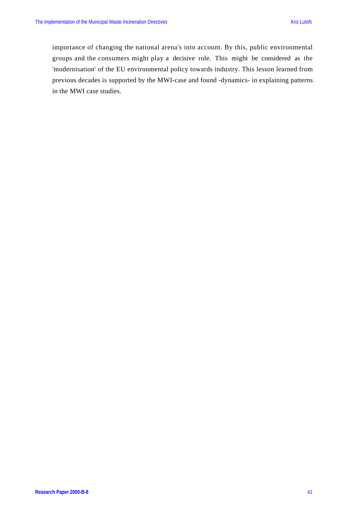importance of changing the national arena's into account. By this, public environmental groups and the consumers might play a decisive role. This might be considered as the 'modernisation' of the EU environmental policy towards industry. This lesson learned from previous decades is supported by the MWI-case and found -dynamics- in explaining patterns in the MWI case studies.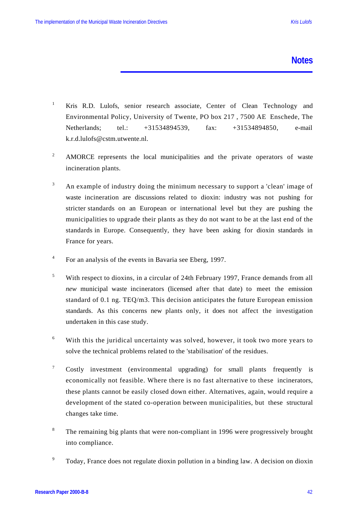### **Notes**

- <sup>1</sup> Kris R.D. Lulofs, senior research associate, Center of Clean Technology and Environmental Policy, University of Twente, PO box 217 , 7500 AE Enschede, The Netherlands; tel.: +31534894539, fax: +31534894850, e-mail k.r.d.lulofs@cstm.utwente.nl.
- <sup>2</sup> AMORCE represents the local municipalities and the private operators of waste incineration plants.
- <sup>3</sup> An example of industry doing the minimum necessary to support a 'clean' image of waste incineration are discussions related to dioxin: industry was not pushing for stricter standards on an European or international level but they are pushing the municipalities to upgrade their plants as they do not want to be at the last end of the standards in Europe. Consequently, they have been asking for dioxin standards in France for years.
- 4 For an analysis of the events in Bavaria see Eberg, 1997.
- <sup>5</sup> With respect to dioxins, in a circular of 24th February 1997, France demands from all *new* municipal waste incinerators (licensed after that date) to meet the emission standard of 0.1 ng. TEQ/m3. This decision anticipates the future European emission standards. As this concerns new plants only, it does not affect the investigation undertaken in this case study.
- <sup>6</sup> With this the juridical uncertainty was solved, however, it took two more years to solve the technical problems related to the 'stabilisation' of the residues.
- <sup>7</sup> Costly investment (environmental upgrading) for small plants frequently is economically not feasible. Where there is no fast alternative to these incinerators, these plants cannot be easily closed down either. Alternatives, again, would require a development of the stated co-operation between municipalities, but these structural changes take time.
- <sup>8</sup> The remaining big plants that were non-compliant in 1996 were progressively brought into compliance.
- <sup>9</sup> Today, France does not regulate dioxin pollution in a binding law. A decision on dioxin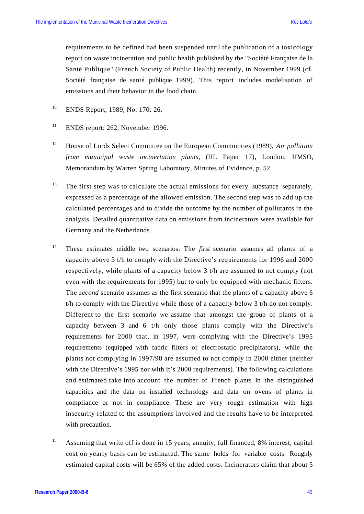requirements to be defined had been suspended until the publication of a toxicology report on waste incineration and public health published by the "Société Française de la Santé Publique" (French Society of Public Health) recently, in November 1999 (cf. Société française de santé publique 1999). This report includes modelisation of emissions and their behavior in the food chain.

- <sup>10</sup> ENDS Report, 1989, No. 170: 26.
- <sup>11</sup> ENDS report: 262, November 1996.
- <sup>12</sup> House of Lords Select Committee on the European Communities (1989), *Air pollution from municipal waste incinertation plants*, (HL Paper 17), London, HMSO, Memorandum by Warren Spring Laboratory, Minutes of Evidence, p. 52.
- <sup>13</sup> The first step was to calculate the actual emissions for every substance separately, expressed as a percentage of the allowed emission. The second step was to add up the calculated percentages and to divide the outcome by the number of pollutants in the analysis. Detailed quantitative data on emissions from incinerators were available for Germany and the Netherlands.
- <sup>14</sup> These estimates middle two scenarios: The *first* scenario assumes all plants of a capacity above 3 t/h to comply with the Directive's requirements for 1996 and 2000 respectively, while plants of a capacity below 3 t/h are assumed to not comply (not even with the requirements for 1995) but to only be equipped with mechanic filters. The *second* scenario assumes as the first scenario that the plants of a capacity above 6 t/h to comply with the Directive while those of a capacity below 3 t/h do not comply. Different to the first scenario we assume that amongst the group of plants of a capacity between 3 and 6 t/h only those plants comply with the Directive's requirements for 2000 that, in 1997, were complying with the Directive's 1995 requirements (equipped with fabric filters or electrostatic precipitators), while the plants not complying in 1997/98 are assumed to not comply in 2000 either (neither with the Directive's 1995 nor with it's 2000 requirements). The following calculations and estimated take into account the number of French plants in the distinguished capacities and the data on installed technology and data on ovens of plants in compliance or not in compliance. These are very rough estimation with high insecurity related to the assumptions involved and the results have to be interpreted with precaution.
- <sup>15</sup> Assuming that write off is done in 15 years, annuity, full financed, 8% interest; capital cost on yearly basis can be estimated. The same holds for variable costs. Roughly estimated capital costs will be 65% of the added costs. Incinerators claim that about 5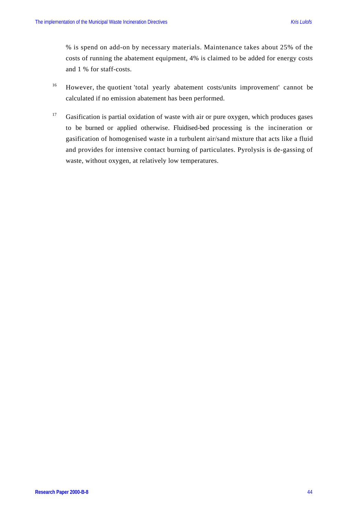% is spend on add-on by necessary materials. Maintenance takes about 25% of the costs of running the abatement equipment, 4% is claimed to be added for energy costs and 1 % for staff-costs.

- <sup>16</sup> However, the quotient 'total yearly abatement costs/units improvement' cannot be calculated if no emission abatement has been performed.
- <sup>17</sup> Gasification is partial oxidation of waste with air or pure oxygen, which produces gases to be burned or applied otherwise. Fluidised-bed processing is the incineration or gasification of homogenised waste in a turbulent air/sand mixture that acts like a fluid and provides for intensive contact burning of particulates. Pyrolysis is de-gassing of waste, without oxygen, at relatively low temperatures.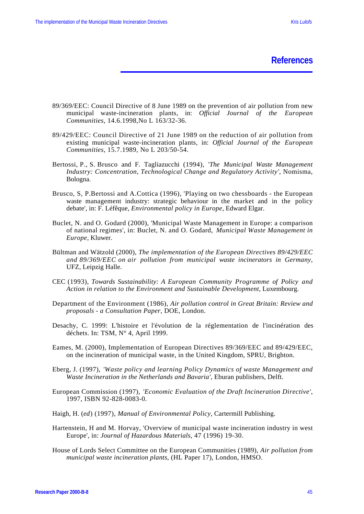**References**

- 89/369/EEC: Council Directive of 8 June 1989 on the prevention of air pollution from new municipal waste-incineration plants, in: *Official Journal of the European Communities*, 14.6.1998,No L 163/32-36.
- 89/429/EEC: Council Directive of 21 June 1989 on the reduction of air pollution from existing municipal waste-incineration plants, in: *Official Journal of the European Communities*, 15.7.1989, No L 203/50-54.
- Bertossi, P., S. Brusco and F. Tagliazucchi (1994), '*The Municipal Waste Management Industry: Concentration, Technological Change and Regulatory Activity'*, Nomisma, Bologna.
- Brusco, S, P.Bertossi and A.Cottica (1996), 'Playing on two chessboards the European waste management industry: strategic behaviour in the market and in the policy debate', in: F. Léfêque, *Environmental policy in Europe*, Edward Elgar.
- Buclet, N. and O. Godard (2000), 'Municipal Waste Management in Europe: a comparison of national regimes', in: Buclet, N. and O. Godard, *Municipal Waste Management in Europe*, Kluwer.
- Bültman and Wätzold (2000), *The implementation of the European Directives 89/429/EEC and 89/369/EEC on air pollution from municipal waste incinerators in Germany*, UFZ, Leipzig Halle.
- CEC (1993), *Towards Sustainability: A European Community Programme of Policy and Action in relation to the Environment and Sustainable Development*, Luxembourg.
- Department of the Environment (1986), *Air pollution control in Great Britain: Review and proposals - a Consultation Paper*, DOE, London.
- Desachy, C. 1999: L'histoire et l'évolution de la réglementation de l'incinération des déchets. In: TSM, N° 4, April 1999.
- Eames, M. (2000), Implementation of European Directives 89/369/EEC and 89/429/EEC, on the incineration of municipal waste, in the United Kingdom, SPRU, Brighton.
- Eberg, J. (1997), *'Waste policy and learning Policy Dynamics of waste Management and Waste Incineration in the Netherlands and Bavaria'*, Eburan publishers, Delft.
- European Commission (1997), *'Economic Evaluation of the Draft Incineration Directive'*, 1997, ISBN 92-828-0083-0.
- Haigh, H. (*ed*) (1997), *Manual of Environmental Policy*, Cartermill Publishing.
- Hartenstein, H and M. Horvay, 'Overview of municipal waste incineration industry in west Europe', in: *Journal of Hazardous Materials,* 47 (1996) 19-30.
- House of Lords Select Committee on the European Communities (1989), *Air pollution from municipal waste incineration plants*, (HL Paper 17), London, HMSO.